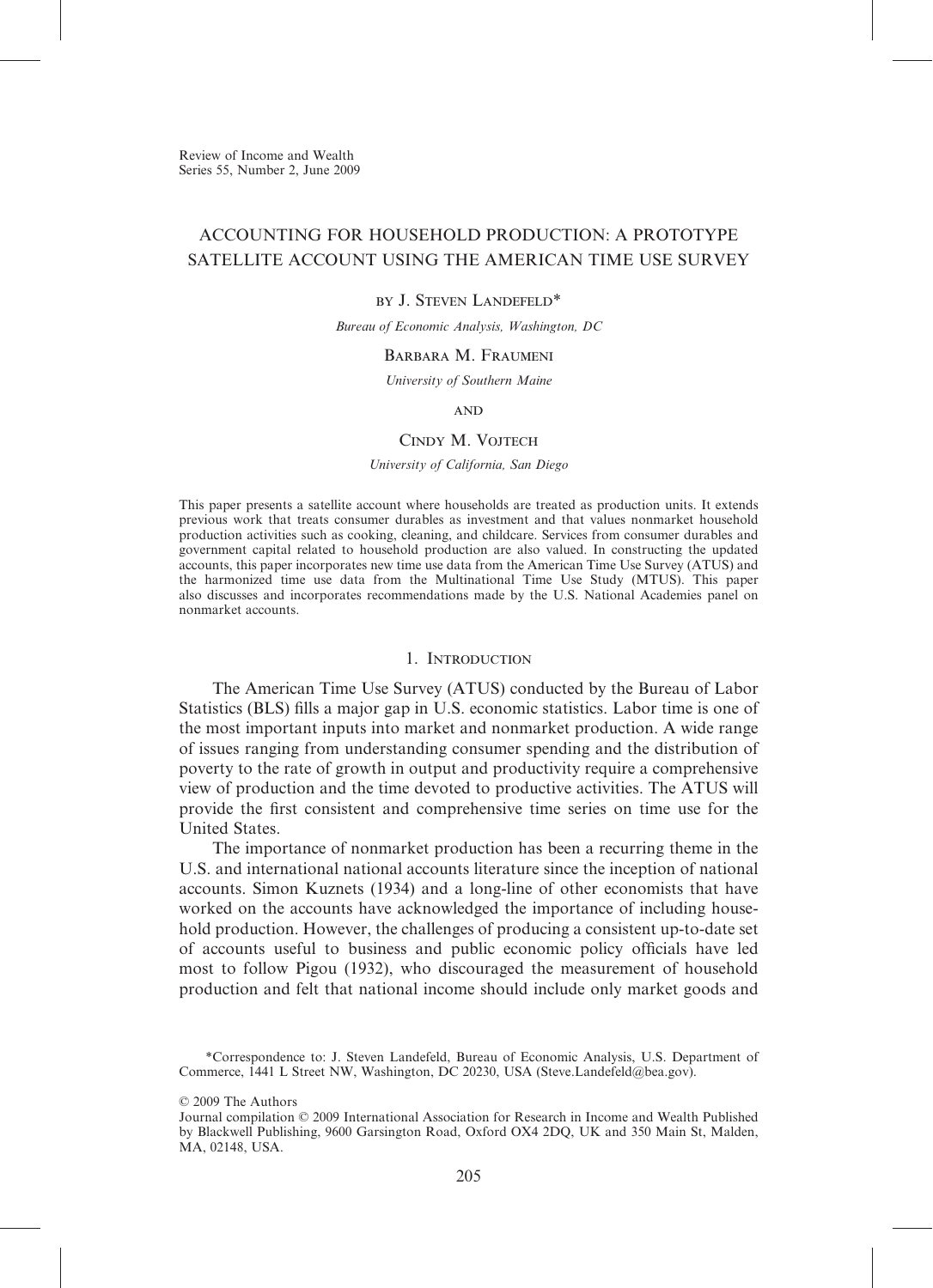# ACCOUNTING FOR HOUSEHOLD PRODUCTION: A PROTOTYPE SATELLITE ACCOUNT USING THE AMERICAN TIME USE SURVEY

#### by J. Steven Landefeld\*

*Bureau of Economic Analysis, Washington, DC*

## Barbara M. Fraumeni

*University of Southern Maine*

#### **AND**

#### CINDY M. VOJTECH

#### *University of California, San Diego*

This paper presents a satellite account where households are treated as production units. It extends previous work that treats consumer durables as investment and that values nonmarket household production activities such as cooking, cleaning, and childcare. Services from consumer durables and government capital related to household production are also valued. In constructing the updated accounts, this paper incorporates new time use data from the American Time Use Survey (ATUS) and the harmonized time use data from the Multinational Time Use Study (MTUS). This paper also discusses and incorporates recommendations made by the U.S. National Academies panel on nonmarket accounts.

## 1. Introduction

The American Time Use Survey (ATUS) conducted by the Bureau of Labor Statistics (BLS) fills a major gap in U.S. economic statistics. Labor time is one of the most important inputs into market and nonmarket production. A wide range of issues ranging from understanding consumer spending and the distribution of poverty to the rate of growth in output and productivity require a comprehensive view of production and the time devoted to productive activities. The ATUS will provide the first consistent and comprehensive time series on time use for the United States.

The importance of nonmarket production has been a recurring theme in the U.S. and international national accounts literature since the inception of national accounts. Simon Kuznets (1934) and a long-line of other economists that have worked on the accounts have acknowledged the importance of including household production. However, the challenges of producing a consistent up-to-date set of accounts useful to business and public economic policy officials have led most to follow Pigou (1932), who discouraged the measurement of household production and felt that national income should include only market goods and

\*Correspondence to: J. Steven Landefeld, Bureau of Economic Analysis, U.S. Department of Commerce, 1441 L Street NW, Washington, DC 20230, USA (Steve.Landefeld@bea.gov).

<sup>© 2009</sup> The Authors

Journal compilation © 2009 International Association for Research in Income and Wealth Published by Blackwell Publishing, 9600 Garsington Road, Oxford OX4 2DQ, UK and 350 Main St, Malden, MA, 02148, USA.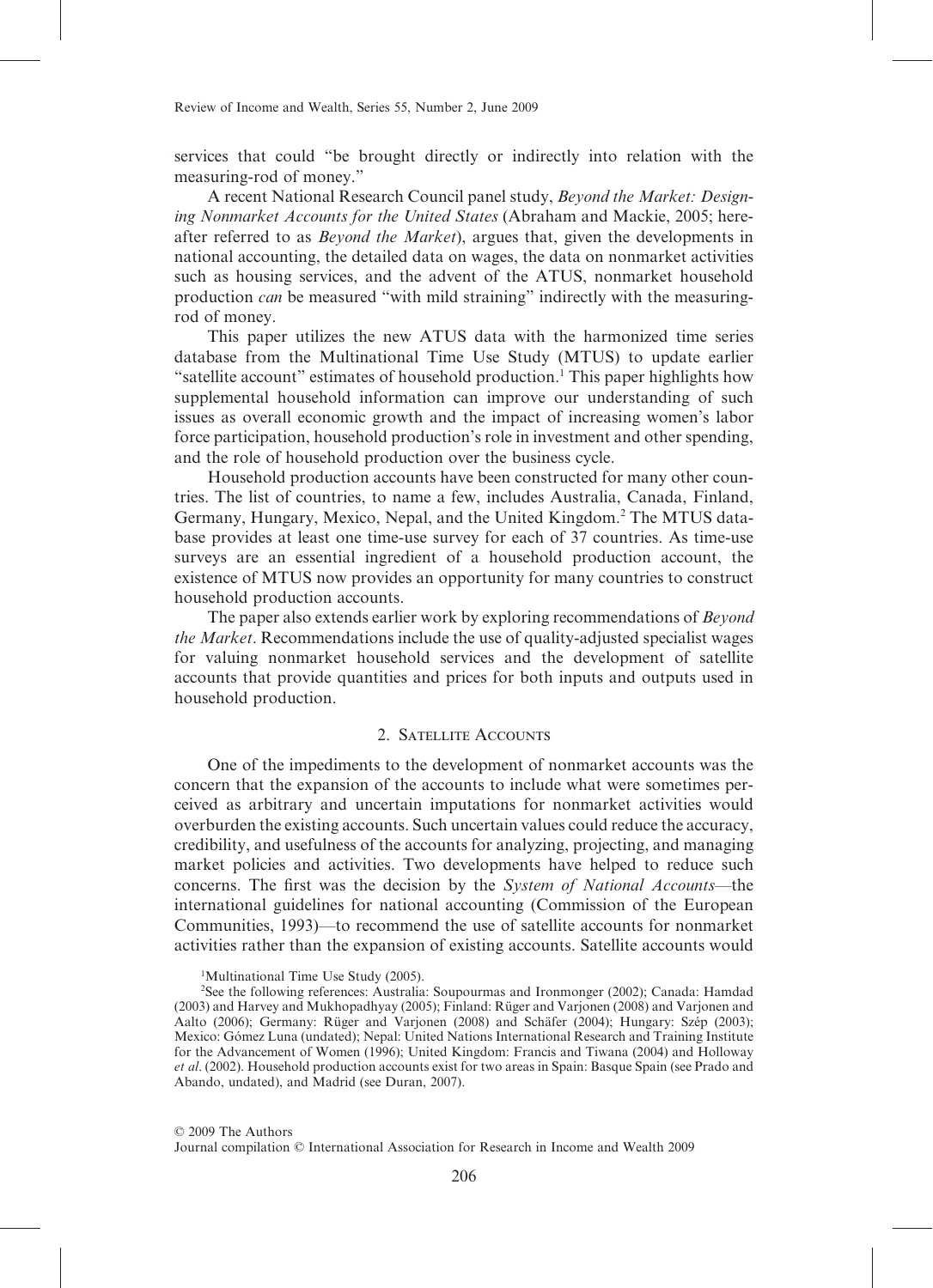services that could "be brought directly or indirectly into relation with the measuring-rod of money."

A recent National Research Council panel study, *Beyond the Market: Designing Nonmarket Accounts for the United States* (Abraham and Mackie, 2005; hereafter referred to as *Beyond the Market*), argues that, given the developments in national accounting, the detailed data on wages, the data on nonmarket activities such as housing services, and the advent of the ATUS, nonmarket household production *can* be measured "with mild straining" indirectly with the measuringrod of money.

This paper utilizes the new ATUS data with the harmonized time series database from the Multinational Time Use Study (MTUS) to update earlier "satellite account" estimates of household production.<sup>1</sup> This paper highlights how supplemental household information can improve our understanding of such issues as overall economic growth and the impact of increasing women's labor force participation, household production's role in investment and other spending, and the role of household production over the business cycle.

Household production accounts have been constructed for many other countries. The list of countries, to name a few, includes Australia, Canada, Finland, Germany, Hungary, Mexico, Nepal, and the United Kingdom.<sup>2</sup> The MTUS database provides at least one time-use survey for each of 37 countries. As time-use surveys are an essential ingredient of a household production account, the existence of MTUS now provides an opportunity for many countries to construct household production accounts.

The paper also extends earlier work by exploring recommendations of *Beyond the Market*. Recommendations include the use of quality-adjusted specialist wages for valuing nonmarket household services and the development of satellite accounts that provide quantities and prices for both inputs and outputs used in household production.

## 2. Satellite Accounts

One of the impediments to the development of nonmarket accounts was the concern that the expansion of the accounts to include what were sometimes perceived as arbitrary and uncertain imputations for nonmarket activities would overburden the existing accounts. Such uncertain values could reduce the accuracy, credibility, and usefulness of the accounts for analyzing, projecting, and managing market policies and activities. Two developments have helped to reduce such concerns. The first was the decision by the *System of National Accounts*—the international guidelines for national accounting (Commission of the European Communities, 1993)—to recommend the use of satellite accounts for nonmarket activities rather than the expansion of existing accounts. Satellite accounts would

<sup>1</sup>Multinational Time Use Study (2005).

© 2009 The Authors

<sup>2</sup> See the following references: Australia: Soupourmas and Ironmonger (2002); Canada: Hamdad (2003) and Harvey and Mukhopadhyay (2005); Finland: Rüger and Varjonen (2008) and Varjonen and Aalto (2006); Germany: Rüger and Varjonen (2008) and Schäfer (2004); Hungary: Szép (2003); Mexico: Gómez Luna (undated); Nepal: United Nations International Research and Training Institute for the Advancement of Women (1996); United Kingdom: Francis and Tiwana (2004) and Holloway *et al*. (2002). Household production accounts exist for two areas in Spain: Basque Spain (see Prado and Abando, undated), and Madrid (see Duran, 2007).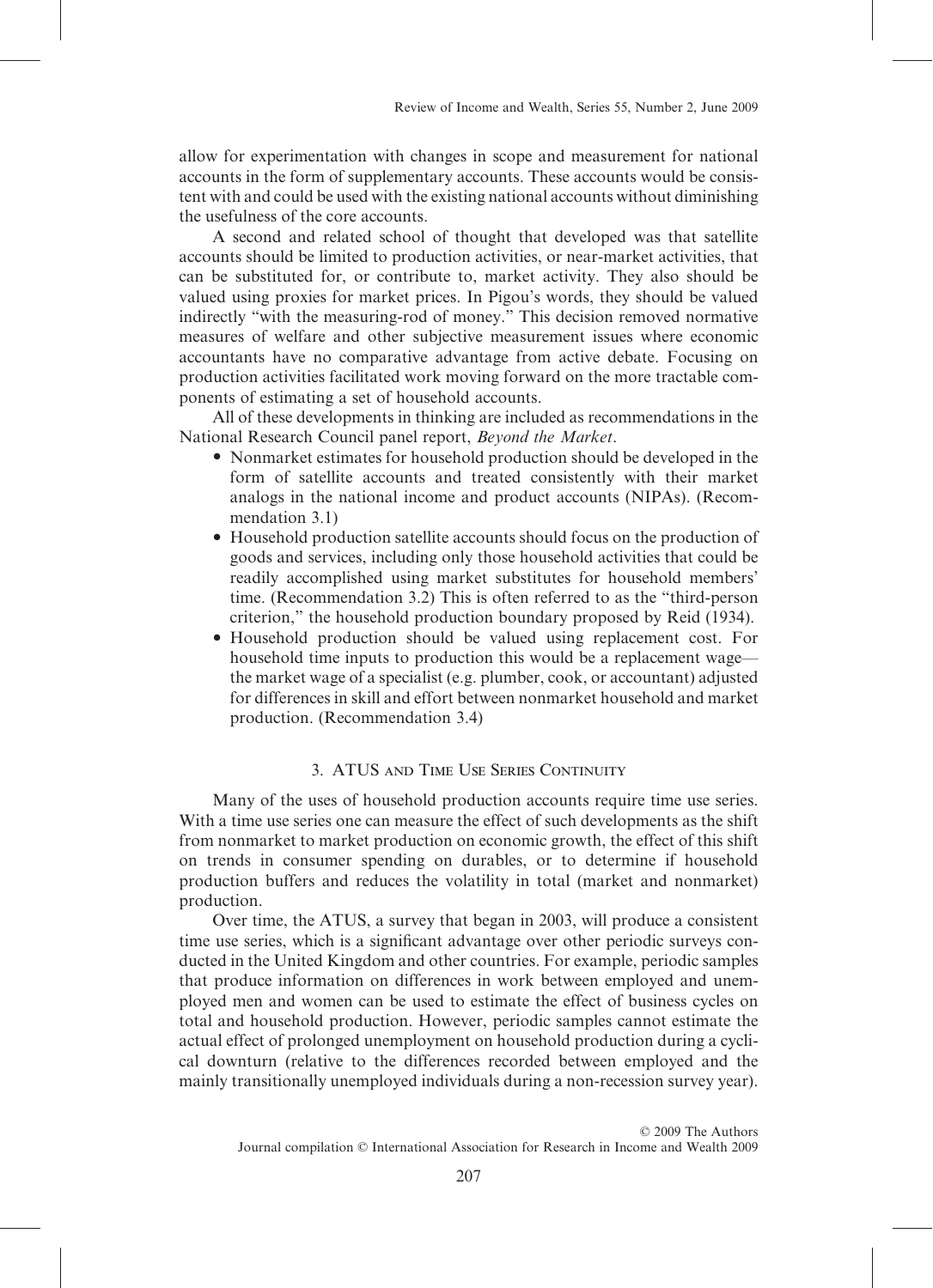allow for experimentation with changes in scope and measurement for national accounts in the form of supplementary accounts. These accounts would be consistent with and could be used with the existing national accounts without diminishing the usefulness of the core accounts.

A second and related school of thought that developed was that satellite accounts should be limited to production activities, or near-market activities, that can be substituted for, or contribute to, market activity. They also should be valued using proxies for market prices. In Pigou's words, they should be valued indirectly "with the measuring-rod of money." This decision removed normative measures of welfare and other subjective measurement issues where economic accountants have no comparative advantage from active debate. Focusing on production activities facilitated work moving forward on the more tractable components of estimating a set of household accounts.

All of these developments in thinking are included as recommendations in the National Research Council panel report, *Beyond the Market*.

- Nonmarket estimates for household production should be developed in the form of satellite accounts and treated consistently with their market analogs in the national income and product accounts (NIPAs). (Recommendation 3.1)
- Household production satellite accounts should focus on the production of goods and services, including only those household activities that could be readily accomplished using market substitutes for household members' time. (Recommendation 3.2) This is often referred to as the "third-person criterion," the household production boundary proposed by Reid (1934).
- Household production should be valued using replacement cost. For household time inputs to production this would be a replacement wage the market wage of a specialist (e.g. plumber, cook, or accountant) adjusted for differences in skill and effort between nonmarket household and market production. (Recommendation 3.4)

## 3. ATUS and Time Use Series Continuity

Many of the uses of household production accounts require time use series. With a time use series one can measure the effect of such developments as the shift from nonmarket to market production on economic growth, the effect of this shift on trends in consumer spending on durables, or to determine if household production buffers and reduces the volatility in total (market and nonmarket) production.

Over time, the ATUS, a survey that began in 2003, will produce a consistent time use series, which is a significant advantage over other periodic surveys conducted in the United Kingdom and other countries. For example, periodic samples that produce information on differences in work between employed and unemployed men and women can be used to estimate the effect of business cycles on total and household production. However, periodic samples cannot estimate the actual effect of prolonged unemployment on household production during a cyclical downturn (relative to the differences recorded between employed and the mainly transitionally unemployed individuals during a non-recession survey year).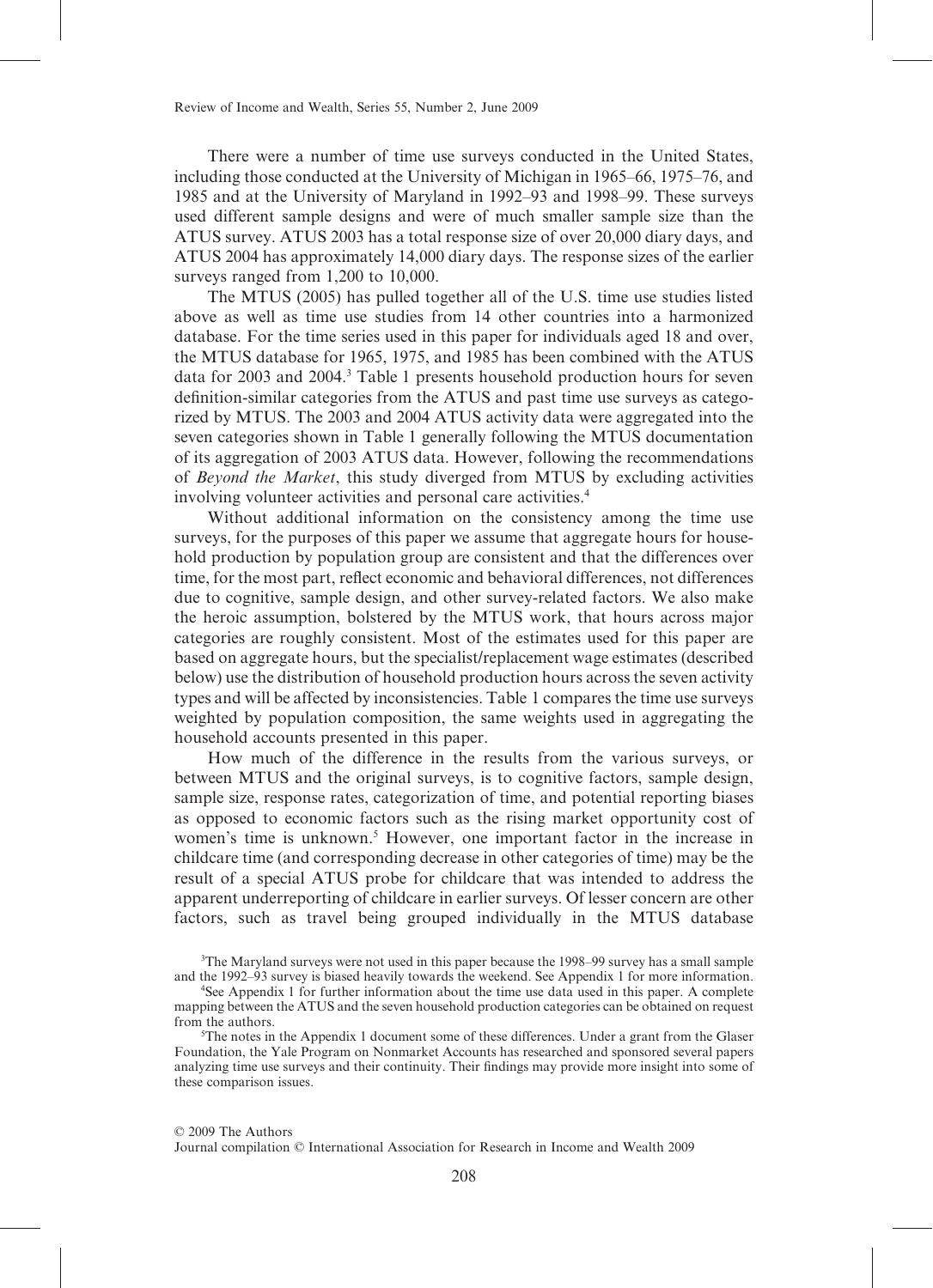There were a number of time use surveys conducted in the United States, including those conducted at the University of Michigan in 1965–66, 1975–76, and 1985 and at the University of Maryland in 1992–93 and 1998–99. These surveys used different sample designs and were of much smaller sample size than the ATUS survey. ATUS 2003 has a total response size of over 20,000 diary days, and ATUS 2004 has approximately 14,000 diary days. The response sizes of the earlier surveys ranged from 1,200 to 10,000.

The MTUS (2005) has pulled together all of the U.S. time use studies listed above as well as time use studies from 14 other countries into a harmonized database. For the time series used in this paper for individuals aged 18 and over, the MTUS database for 1965, 1975, and 1985 has been combined with the ATUS data for 2003 and 2004.<sup>3</sup> Table 1 presents household production hours for seven definition-similar categories from the ATUS and past time use surveys as categorized by MTUS. The 2003 and 2004 ATUS activity data were aggregated into the seven categories shown in Table 1 generally following the MTUS documentation of its aggregation of 2003 ATUS data. However, following the recommendations of *Beyond the Market*, this study diverged from MTUS by excluding activities involving volunteer activities and personal care activities.4

Without additional information on the consistency among the time use surveys, for the purposes of this paper we assume that aggregate hours for household production by population group are consistent and that the differences over time, for the most part, reflect economic and behavioral differences, not differences due to cognitive, sample design, and other survey-related factors. We also make the heroic assumption, bolstered by the MTUS work, that hours across major categories are roughly consistent. Most of the estimates used for this paper are based on aggregate hours, but the specialist/replacement wage estimates (described below) use the distribution of household production hours across the seven activity types and will be affected by inconsistencies. Table 1 compares the time use surveys weighted by population composition, the same weights used in aggregating the household accounts presented in this paper.

How much of the difference in the results from the various surveys, or between MTUS and the original surveys, is to cognitive factors, sample design, sample size, response rates, categorization of time, and potential reporting biases as opposed to economic factors such as the rising market opportunity cost of women's time is unknown.<sup>5</sup> However, one important factor in the increase in childcare time (and corresponding decrease in other categories of time) may be the result of a special ATUS probe for childcare that was intended to address the apparent underreporting of childcare in earlier surveys. Of lesser concern are other factors, such as travel being grouped individually in the MTUS database

<sup>&</sup>lt;sup>3</sup>The Maryland surveys were not used in this paper because the 1998–99 survey has a small sample and the 1992–93 survey is biased heavily towards the weekend. See Appendix 1 for more information.

<sup>4</sup> See Appendix 1 for further information about the time use data used in this paper. A complete mapping between the ATUS and the seven household production categories can be obtained on request from the authors.

<sup>5</sup> The notes in the Appendix 1 document some of these differences. Under a grant from the Glaser Foundation, the Yale Program on Nonmarket Accounts has researched and sponsored several papers analyzing time use surveys and their continuity. Their findings may provide more insight into some of these comparison issues.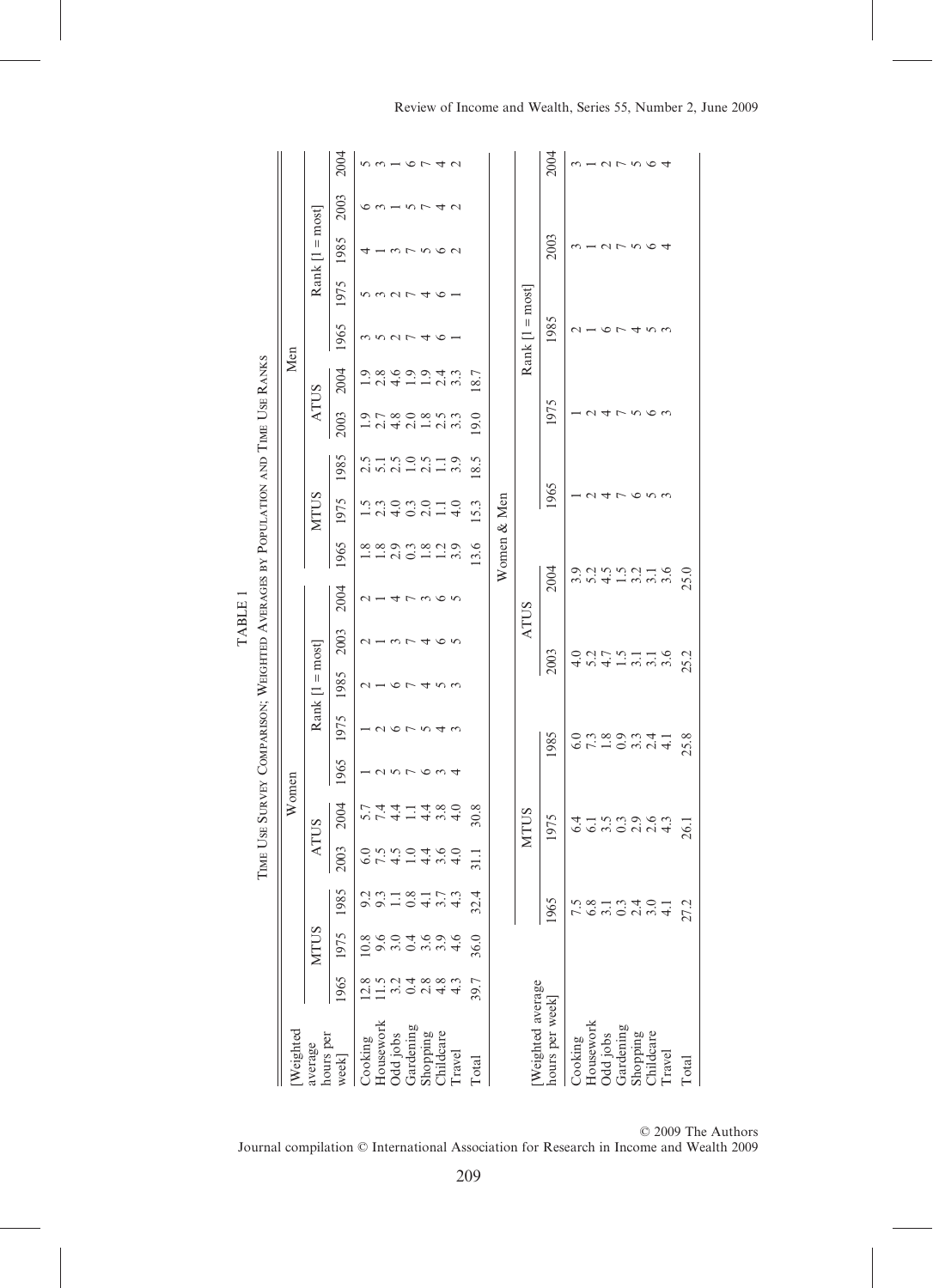TABLE 1 TABLE 1

|                                                                                |          |                          | 2004 | n             | $\epsilon$              | $\overline{\phantom{0}}$ | $\circ$ $\sim$                            |                       | 4                | $\mathbf{C}$  |                   |             |                          | 2004            |         |                  | $\overline{2}$             |           | - 56     |           |                  |       |
|--------------------------------------------------------------------------------|----------|--------------------------|------|---------------|-------------------------|--------------------------|-------------------------------------------|-----------------------|------------------|---------------|-------------------|-------------|--------------------------|-----------------|---------|------------------|----------------------------|-----------|----------|-----------|------------------|-------|
|                                                                                |          |                          | 2003 | 6             | $\sim$                  |                          | n r                                       |                       | 4                | $\sim$        |                   |             |                          |                 |         |                  |                            |           |          |           |                  |       |
|                                                                                |          | Rank $[1 = \text{most}]$ | 1985 |               |                         |                          | <b>t</b>                                  |                       | $\circ$          | $\sim$        |                   |             |                          | 2003            |         |                  | $\sim$                     |           |          |           |                  |       |
|                                                                                |          |                          | 1975 |               | $\sim$                  | $\sim$ $\sim$            |                                           | ᅕ                     | ৩                |               |                   |             |                          |                 |         |                  |                            |           |          |           |                  |       |
|                                                                                |          |                          | 1965 |               | $\sim$                  | $\sim$                   |                                           | 4                     | ◡                |               |                   |             | Rank $[1 = \text{most}]$ | 1985            |         |                  |                            |           |          |           |                  |       |
|                                                                                | Men      |                          | 2004 |               | 2.8                     | 4.6                      | 1.9                                       |                       | 2.4              | 3.3           | 18.7              |             |                          |                 |         |                  |                            |           |          |           |                  |       |
|                                                                                |          | <b>ATUS</b>              | 2003 |               | $\frac{1}{4}$           | 4.8                      | 2.0                                       | 1.8                   | 2.5              | 3.3           | 19.0              |             |                          | 1975            |         |                  |                            |           |          | ७         |                  |       |
|                                                                                |          |                          | 1985 | 2.5           | $\overline{51}$         |                          | $2.5$<br>$-2.5$                           |                       | Ξ                | 3.9           | 18.5              |             |                          |                 |         |                  |                            |           |          |           |                  |       |
|                                                                                |          | <b>NTUS</b>              | 1975 | 1.5           | $2.\overline{3}$<br>4.0 |                          | $\frac{3}{2}$ .0                          |                       | $\frac{1}{4}$ .0 |               | 15.3              |             |                          | 1965            |         |                  | 4                          | t         | ≌        | $\sim$    | $\sim$           |       |
|                                                                                |          |                          | 1965 | ∝.            | 1.8                     |                          | $\begin{array}{c} 0.3 \\ 1.8 \end{array}$ |                       | 1.39             |               | 13.6              | Women & Men |                          |                 |         |                  |                            |           |          |           |                  |       |
|                                                                                |          |                          | 2004 | $\sim$        |                         | 4                        | F                                         | $\sim$                | $\circ$          |               |                   |             |                          | 2004            |         | $\frac{2}{3}$ .7 |                            |           |          |           |                  | 25.0  |
|                                                                                |          |                          | 2003 |               |                         | $\epsilon$               | Ŀ                                         | 4                     |                  | n             |                   |             | <b>ATUS</b>              |                 |         | $5.2$<br>4.7     |                            | 1.5       |          | 3.1       | 3.6              |       |
|                                                                                |          | Rank $[1 = \text{most}]$ | 1985 |               |                         | $\circ$                  | ŋ                                         | 4                     |                  |               |                   |             |                          | 2003            |         |                  |                            |           |          |           |                  | 25.2  |
|                                                                                |          |                          | 1975 |               | 1                       | ७                        | <b>t</b>                                  |                       |                  |               |                   |             |                          | 1985            |         |                  |                            |           |          |           | $\frac{1}{4}$    | 25.8  |
| TIME USE SURVEY COMPARISON; WEIGHTED AVERAGES BY POPULATION AND TIME USE RANKS |          |                          | 1965 |               | 1                       | S                        | L.                                        | $\circ$               | $\epsilon$       | ᅿ             |                   |             |                          |                 |         |                  |                            |           |          |           |                  |       |
|                                                                                | Women    |                          | 2004 |               |                         |                          | こはは1480<br>こはは1480                        |                       |                  |               | 30.8              |             | NTUS                     | 1975            |         |                  | 4 1 5 5 6 9<br>6 6 7 9 9 9 |           |          | 2.6       | $4.\overline{3}$ | 26.1  |
|                                                                                |          | <b>ATUS</b>              | 2003 | 6.0           |                         |                          | $54 - 4$                                  |                       | 3.6              |               | $\overline{31.1}$ |             |                          |                 |         |                  |                            |           |          |           |                  |       |
|                                                                                |          |                          | 1985 | ų             | ω.<br>$\circ$           |                          | $\infty$                                  | 4                     | $\omega$ 4       |               | 4<br>32.          |             |                          | 1965            |         |                  | r san grad<br>1981 da da d |           |          |           |                  | 27.2  |
|                                                                                |          | <b>NTUS</b>              | 1975 | 10.8          | $9.6$<br>3.0            |                          | 0.4                                       | 3.6                   | 3.9              |               | 36.0              |             |                          |                 |         |                  |                            |           |          |           |                  |       |
|                                                                                |          |                          | 1965 | $\frac{8}{2}$ | ≟                       |                          |                                           | 2.8                   | 4.8              | $\frac{3}{4}$ | 39.7              |             |                          |                 |         |                  |                            |           |          |           |                  |       |
|                                                                                | Weighted | hours per<br>average     | week | Cooking       | Housework<br>Odd jobs   |                          | Gardening                                 | Shopping<br>Childcare |                  | Travel        | Total             |             | Weighted average         | hours per week] | Cooking | Housework        | Odd jobs                   | Gardening | Shopping | Childcare | Travel           | Total |

© 2009 The Authors Journal compilation © International Association for Research in Income and Wealth 2009

209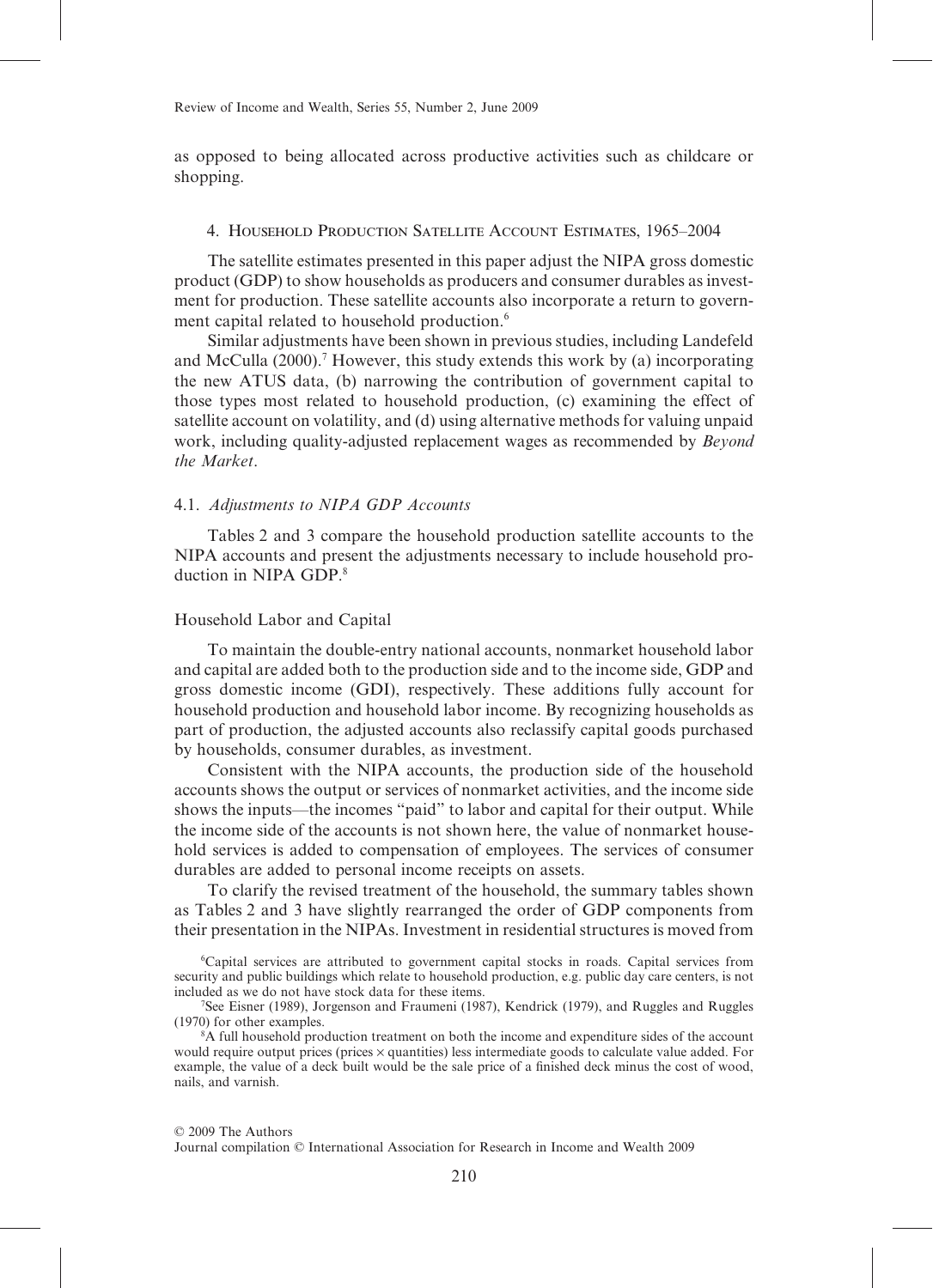as opposed to being allocated across productive activities such as childcare or shopping.

## 4. Household Production Satellite Account Estimates, 1965–2004

The satellite estimates presented in this paper adjust the NIPA gross domestic product (GDP) to show households as producers and consumer durables as investment for production. These satellite accounts also incorporate a return to government capital related to household production.<sup>6</sup>

Similar adjustments have been shown in previous studies, including Landefeld and McCulla  $(2000)$ .<sup>7</sup> However, this study extends this work by (a) incorporating the new ATUS data, (b) narrowing the contribution of government capital to those types most related to household production, (c) examining the effect of satellite account on volatility, and (d) using alternative methods for valuing unpaid work, including quality-adjusted replacement wages as recommended by *Beyond the Market*.

## 4.1. *Adjustments to NIPA GDP Accounts*

Tables 2 and 3 compare the household production satellite accounts to the NIPA accounts and present the adjustments necessary to include household production in NIPA GDP.<sup>8</sup>

## Household Labor and Capital

To maintain the double-entry national accounts, nonmarket household labor and capital are added both to the production side and to the income side, GDP and gross domestic income (GDI), respectively. These additions fully account for household production and household labor income. By recognizing households as part of production, the adjusted accounts also reclassify capital goods purchased by households, consumer durables, as investment.

Consistent with the NIPA accounts, the production side of the household accounts shows the output or services of nonmarket activities, and the income side shows the inputs—the incomes "paid" to labor and capital for their output. While the income side of the accounts is not shown here, the value of nonmarket household services is added to compensation of employees. The services of consumer durables are added to personal income receipts on assets.

To clarify the revised treatment of the household, the summary tables shown as Tables 2 and 3 have slightly rearranged the order of GDP components from their presentation in the NIPAs. Investment in residential structures is moved from

6 Capital services are attributed to government capital stocks in roads. Capital services from security and public buildings which relate to household production, e.g. public day care centers, is not included as we do not have stock data for these items.

7 See Eisner (1989), Jorgenson and Fraumeni (1987), Kendrick (1979), and Ruggles and Ruggles (1970) for other examples.

8 A full household production treatment on both the income and expenditure sides of the account would require output prices (prices  $\times$  quantities) less intermediate goods to calculate value added. For example, the value of a deck built would be the sale price of a finished deck minus the cost of wood, nails, and varnish.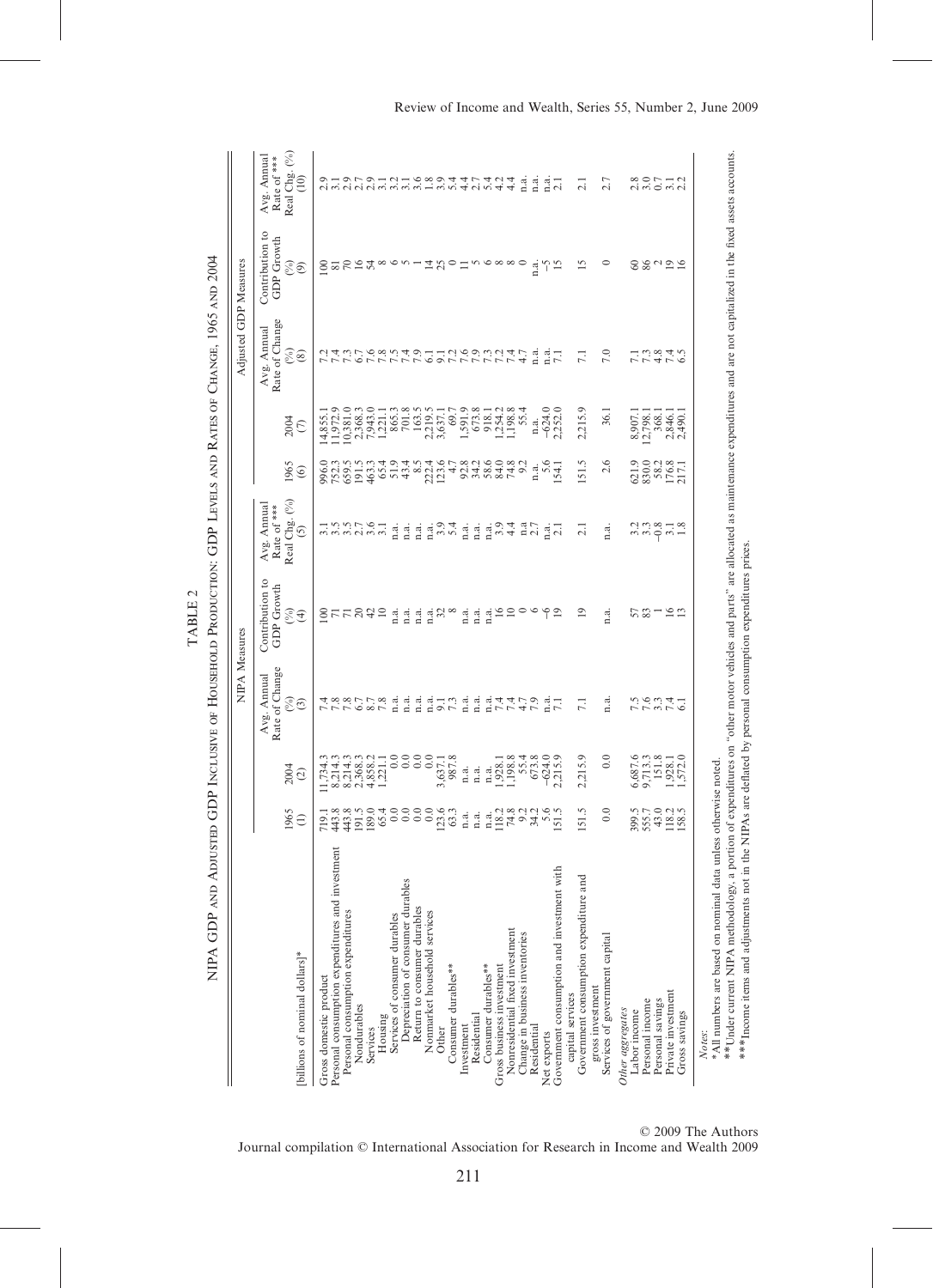|                                                                                                             |                                     |                                                        | NIPA Measures                                                         |                                                                                                    |                                                            |                                           |                                  | Adjusted GDP Measures               |                                                                                                                                                                   |                                                           |
|-------------------------------------------------------------------------------------------------------------|-------------------------------------|--------------------------------------------------------|-----------------------------------------------------------------------|----------------------------------------------------------------------------------------------------|------------------------------------------------------------|-------------------------------------------|----------------------------------|-------------------------------------|-------------------------------------------------------------------------------------------------------------------------------------------------------------------|-----------------------------------------------------------|
| [billions of nominal dollars]*                                                                              | $\frac{1965}{20}$                   | 2004<br>$\odot$                                        | Rate of Change<br>Avg. Annual<br>ීෆි                                  | Contribution to<br><b>GDP</b> Growth<br>§€                                                         | Real Chg. $\binom{9}{0}$ (5)<br>Avg. Annual<br>Rate of *** | 1965<br>(6)                               | 2004                             | Rate of Change<br>Avg. Annual<br>ිම | Contribution to<br><b>GDP</b> Growth<br>වි                                                                                                                        | Real Chg. $\binom{9/6}{10}$<br>Avg. Annual<br>Rate of *** |
| investment<br>Personal consumption expenditures and<br>Gross domestic product                               | 719.1                               | 11,734.                                                | $7 - 78$<br>$7 - 8$                                                   | SEES <del>4</del> 2                                                                                |                                                            | 96.0<br>752.3<br>659.5                    | 14,855.1<br>11,972.9<br>10,381.0 |                                     | 0.5884                                                                                                                                                            |                                                           |
| Personal consumption expenditures<br>Nondurables                                                            | 443.8<br>443.8                      | 8,214.3<br>8,214.3                                     | 6.7                                                                   |                                                                                                    | $1.555$<br>3.3.3.5.9                                       |                                           |                                  | rrrorrrrr<br>Gauro Sunto            |                                                                                                                                                                   | $\circ$                                                   |
| Services                                                                                                    | 191.5                               | 2,368.3<br>4,858.2                                     | 8.7                                                                   |                                                                                                    |                                                            | 191.5                                     | 2,368.3<br>7,943.0               |                                     |                                                                                                                                                                   | ての121168944                                               |
| Services of consumer durables<br>Housing                                                                    |                                     | $_{0.0}$<br>1,221.1                                    | $7.8\,$<br>n.a.                                                       | n.a.                                                                                               | $\overline{31}$<br>n.a.                                    |                                           | 865.3<br>1,221.1                 |                                     | $\infty \circ \omega$                                                                                                                                             |                                                           |
| Depreciation of consumer durables                                                                           |                                     | $_{0.0}$                                               | n.a.                                                                  | n.a.                                                                                               | n.a.                                                       |                                           |                                  |                                     |                                                                                                                                                                   |                                                           |
| Return to consumer durables<br>Nonmarket household services                                                 |                                     | $\begin{matrix} 0.0 \\ 0.0 \end{matrix}$               | n.a.                                                                  | n.a.                                                                                               |                                                            |                                           | 163.5<br>2,219.5                 | 6.1                                 | $14^{25}$                                                                                                                                                         |                                                           |
| Consumer durables**<br>Other                                                                                |                                     | 3,637.1<br>987.8                                       | n.a.<br>5.7                                                           | $\overset{\text{a}}{\mathfrak{D}}\overset{\text{a}}{\mathfrak{D}}\overset{\text{a}}{\mathfrak{d}}$ | $\frac{a}{b}$ a $\frac{a}{c}$ 3.4                          | cod a gla codesera<br>Sud a gla diversito | 69.7<br>3,637.1                  | orrrrrr4                            |                                                                                                                                                                   |                                                           |
| Investment                                                                                                  | n.a.                                | n.a.                                                   | n.a.                                                                  | n.a.                                                                                               | n.a.                                                       |                                           | 1,591.9                          |                                     |                                                                                                                                                                   |                                                           |
| Residential                                                                                                 | n.a.                                | n.a.                                                   | n.a.                                                                  | n.a.                                                                                               |                                                            |                                           | 673.8                            |                                     |                                                                                                                                                                   |                                                           |
| Consumer durables**<br>Gross business investment                                                            |                                     | n.a.                                                   | $\frac{1}{2}$ $\frac{1}{4}$ $\frac{1}{4}$ $\frac{1}{4}$ $\frac{1}{4}$ | n.a.                                                                                               | $1.4$<br>$1.4$<br>$7.4$                                    |                                           |                                  |                                     | n 6 8 8                                                                                                                                                           | $217$<br>$217$<br>$41$                                    |
| Nonresidential fixed investment                                                                             |                                     | 1,928.1<br>1,198.8<br>673.8                            |                                                                       | $\frac{16}{10}$                                                                                    |                                                            |                                           | 1,254.2<br>1,198.8<br>55.4       |                                     |                                                                                                                                                                   | 4.4                                                       |
| Change in business inventories                                                                              |                                     |                                                        |                                                                       | $\circ$                                                                                            | $\frac{na}{2.7}$                                           |                                           |                                  |                                     | $\circ$                                                                                                                                                           | n.a.                                                      |
| Residential                                                                                                 |                                     |                                                        | 7.9                                                                   |                                                                                                    |                                                            |                                           | n.a.                             | n.a.                                | n.a.                                                                                                                                                              | n.a.                                                      |
| Government consumption and investment with<br>Net exports                                                   | 13233365<br>19203455                | $-624.0$<br>$2,215.9$                                  | n.a.<br>7.1                                                           |                                                                                                    | $a$<br>$\frac{a}{2}$                                       | n.a.<br>54.1                              | $-624.0$<br>2,252.0              | n.a.                                | $-5$                                                                                                                                                              | $\frac{a}{21}$                                            |
| capital services                                                                                            |                                     |                                                        |                                                                       |                                                                                                    |                                                            |                                           |                                  |                                     |                                                                                                                                                                   |                                                           |
| and<br>Government consumption expenditure<br>gross investment                                               | 51.5                                | 2,215.9                                                | $\overline{z}$                                                        | $\mathbf{D}$                                                                                       | $\overline{N}$                                             | 151.5                                     | 2,215.9                          | 71                                  | 51                                                                                                                                                                | $\overline{c}$                                            |
| Services of government capital                                                                              | 0.0                                 | 0.0                                                    | n.a.                                                                  | n.a.                                                                                               | n.a.                                                       | 2.6                                       | 36.1                             | 7.0                                 | 0                                                                                                                                                                 | 2.7                                                       |
| Other aggregates<br>Labor income                                                                            |                                     | 6,687.6                                                |                                                                       |                                                                                                    |                                                            | 621.9                                     |                                  |                                     |                                                                                                                                                                   |                                                           |
| Personal income                                                                                             |                                     | 9,713.3                                                |                                                                       | 52                                                                                                 |                                                            | 830.0                                     | 8,907.1<br>12,798.1              |                                     |                                                                                                                                                                   |                                                           |
| Personal savings                                                                                            |                                     |                                                        |                                                                       |                                                                                                    | a wa du<br>u wa du                                         |                                           | 368.1<br>2,846.1                 |                                     |                                                                                                                                                                   |                                                           |
| Private investment<br>Gross savings                                                                         | 395.7<br>555.7<br>554158.5<br>158.7 | $\begin{array}{c} 151.8 \\ 928.1 \\ 572.0 \end{array}$ | 75374<br>75374                                                        | $-50$                                                                                              |                                                            | 58.2<br>176.8<br>217.1                    | 2,490.1                          | 1.3845<br>1.3845                    |                                                                                                                                                                   | 80512<br>200512                                           |
| *All numbers are based on nominal data unless otherwise noted.<br>** Under current NIPA methodolo<br>Notes: |                                     |                                                        |                                                                       |                                                                                                    |                                                            |                                           |                                  |                                     | gy, a portion of expenditures on "other motor vehicles and parts" are allocated as maintenance expenditures and are not capitalized in the fixed assets accounts. |                                                           |
| *** Income items and adjustments                                                                            |                                     |                                                        |                                                                       | not in the NIPAs are deflated by personal consumption expenditures prices.                         |                                                            |                                           |                                  |                                     |                                                                                                                                                                   |                                                           |

© 2009 The Authors Journal compilation © International Association for Research in Income and Wealth 2009

TABLE<sub>2</sub> TABLE 2

NIPA GDP and Additional GDP Incrime of Household Production: GDP Levels and Rates of Change 1965 and 2004 Household Production: GDP Levels and Adjusted GDP Inclusive of NIPA GDP and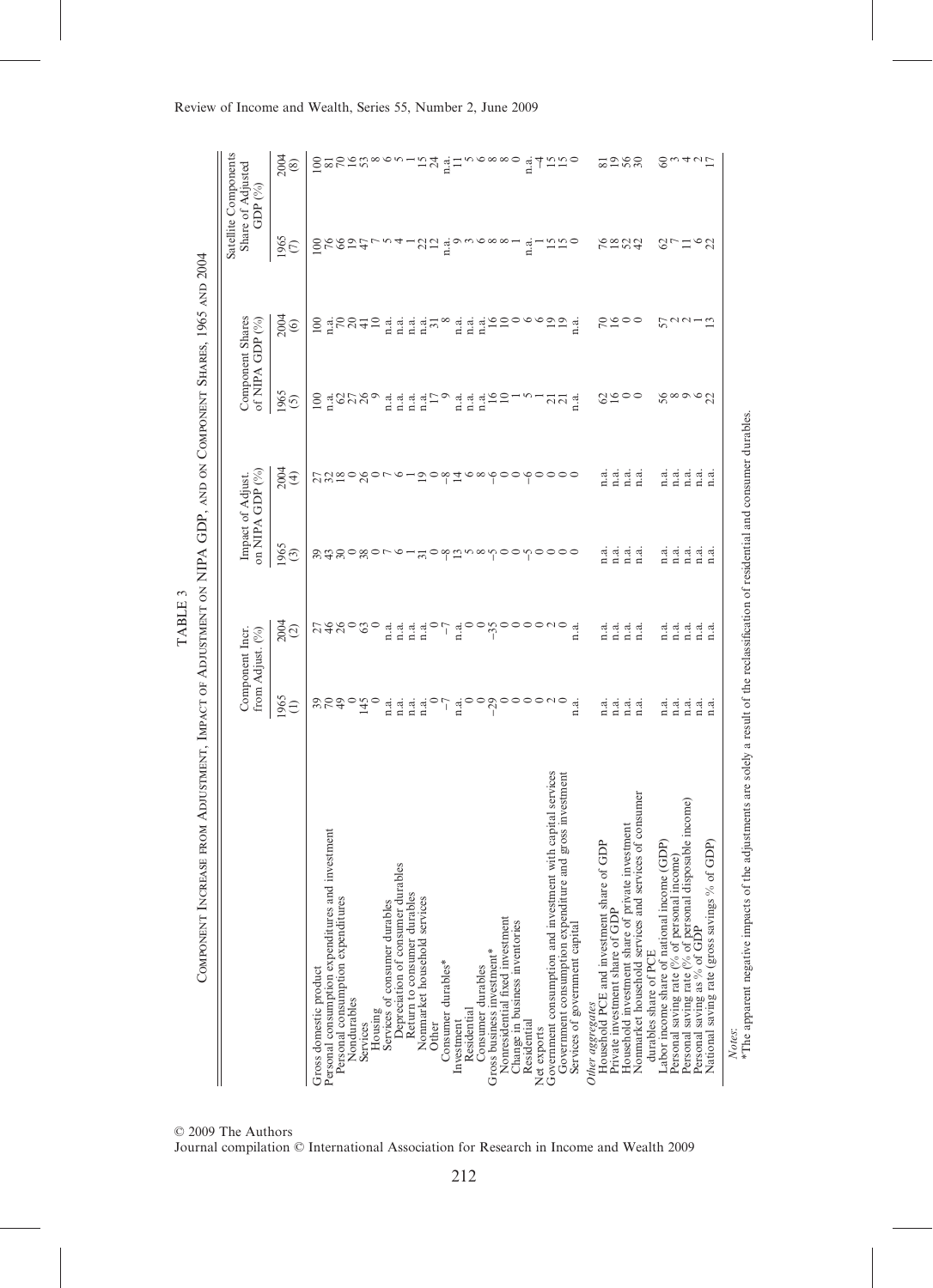|                                                                                                                                 |                                            | Component Incr.<br>from Adjust. $(\%)$                |                    | on NIPA GDP $(\%)$<br>Impact of Adjust | of NIPA GDP $(\%)$                          | Component Shares        |                    | Satellite Components<br>Share of Adjusted<br>$GDP$ $(^{96}_{6})$ |
|---------------------------------------------------------------------------------------------------------------------------------|--------------------------------------------|-------------------------------------------------------|--------------------|----------------------------------------|---------------------------------------------|-------------------------|--------------------|------------------------------------------------------------------|
|                                                                                                                                 | 1965<br>$\ominus$                          | 2004                                                  | 1965<br>$\odot$    | $\frac{364}{4}$                        | 1965<br>$\odot$                             | 2004                    | $\frac{1965}{(7)}$ | $\frac{2004}{(8)}$                                               |
| Gross domestic product                                                                                                          |                                            |                                                       |                    |                                        | $\Xi$                                       | $\geq$                  |                    |                                                                  |
| Personal consumption expenditures and investment                                                                                | 954                                        | ಬೆಕೆ ಸಂದಿಂ                                            | uowowa             | nagogor                                |                                             |                         |                    |                                                                  |
| Personal consumption expenditures                                                                                               |                                            |                                                       |                    |                                        | n.a.<br>027<br>28                           | dsged                   |                    |                                                                  |
| Nondurables<br>Services                                                                                                         | $\circ$                                    |                                                       |                    |                                        |                                             |                         | 247                |                                                                  |
| Housing                                                                                                                         | 145                                        |                                                       |                    |                                        |                                             |                         |                    |                                                                  |
| Services of consumer durables                                                                                                   | n.a.                                       | n.a.                                                  |                    |                                        | n.a.                                        | n.a.                    |                    |                                                                  |
| Depreciation of consumer durables                                                                                               | n.a.                                       | n.a.                                                  |                    | $\circ$ .                              | $a$ .<br>n.a.                               | n.a.                    |                    |                                                                  |
| Return to consumer durables                                                                                                     | n.a.                                       | n.a.                                                  |                    |                                        |                                             | n.a.                    |                    |                                                                  |
| Nonmarket household services<br>Other                                                                                           | n.a.                                       | $\overset{\text{a}}{\circ} \overset{\text{o}}{\circ}$ | e-moduwadoo        | - ≘ ∽ ఞ                                | $\overset{\text{a}}{\Gamma}{}^{\text{D}}$ 9 | $n_a$ $\approx$         | 22                 | 2582888667237427                                                 |
| Consumer durables*                                                                                                              | $\sim$                                     |                                                       |                    |                                        |                                             |                         | n.a.               |                                                                  |
| Investment                                                                                                                      | $\rm ^{a. a.}$                             | n.a.                                                  |                    | 4                                      | $\begin{array}{c}\n a \\  n \end{array}$    | n.a.                    |                    |                                                                  |
| Residential                                                                                                                     |                                            |                                                       |                    |                                        |                                             | n.a.                    |                    |                                                                  |
| Gross business investment*<br>Consumer durables                                                                                 | $-29$                                      | $-35$                                                 |                    | 00900                                  | $1.46$<br>10                                | $^{\rm na.}_{\rm 16}$   | on0000-            | $\circ \circ \circ \circ \circ$                                  |
| Nonresidential fixed investment                                                                                                 |                                            |                                                       |                    |                                        |                                             |                         |                    |                                                                  |
| Change in business inventories                                                                                                  | $\circ$                                    |                                                       |                    |                                        |                                             | $\frac{1}{2}$ 0 $\circ$ |                    |                                                                  |
| Residential                                                                                                                     |                                            | oooono                                                | $\eta \circ \circ$ | ۴                                      |                                             |                         | n.a.               | n.a.                                                             |
| ment with capital services<br>Government consumption and invest<br>Net exports                                                  |                                            |                                                       |                    |                                        |                                             | $\frac{6}{2}$           |                    |                                                                  |
| Government consumption expenditure and gross investment                                                                         | $\circ$ $\circ$                            |                                                       |                    | $\circ \circ \circ \circ$              | ភភ                                          | $\overline{19}$         |                    | †ຕຕ⊝                                                             |
| Services of government capital                                                                                                  | n.a.                                       | n.a.                                                  |                    |                                        | n.a.                                        | n.a.                    |                    |                                                                  |
| Household PCE and investment share of GDP<br>Other aggregates                                                                   | n.a.                                       | n.a.                                                  | n.a.               | n.a.                                   |                                             |                         |                    |                                                                  |
| Private investment share of GDP                                                                                                 | n.a.                                       | n.a.                                                  | n.a.               | n.a.                                   | 82                                          | ೯೯೦೦                    | <b>28234</b>       | ವ೨೫೫                                                             |
| vate investment<br>Household investment share of priv                                                                           |                                            | n.a.                                                  | n.a.               | n.a.                                   | $\circ$                                     |                         |                    |                                                                  |
| services of consumer<br>Nonmarket household services and<br>durables share of PCE                                               | n.a.<br>n.a.                               | n.a.                                                  | n.a.               | n.a.                                   |                                             |                         |                    |                                                                  |
| Labor income share of national income (GDP)                                                                                     | n.a.                                       | n.a.                                                  | n.a.               | n.a.                                   |                                             |                         |                    |                                                                  |
| income)                                                                                                                         |                                            |                                                       | n.a.               | n.a.                                   |                                             |                         | $8 - 1$            |                                                                  |
| disposable income)<br>Personal saving rate (% of personal<br>Personal saving rate (% of personal<br>Personal saving as % of GDP | $\begin{array}{c}\n a \\  n\n \end{array}$ | $\begin{array}{c}\n a \\  n\n \end{array}$            | n.a.               | n.a.                                   |                                             | 2500-                   |                    |                                                                  |
|                                                                                                                                 | n.a.                                       | n.a.                                                  | n.a.               | n.a.                                   | ಜ∞೦ ಂಟ                                      | - ഇ                     |                    | $8u$ 4 $v$ $\bar{c}$                                             |
| $%$ of GDP)<br>National saving rate (gross savings                                                                              | n.a.                                       | n.a.                                                  | n.a.               | n.a.                                   |                                             |                         |                    |                                                                  |

\*The apparent negative impacts of the adjustments are solely a result of the reclassification of residential and consumer durables.

Review of Income and Wealth, Series 55, Number 2, June 2009

TABLE 3

TABLE<sub>3</sub>

© 2009 The Authors Journal compilation © International Association for Research in Income and Wealth 2009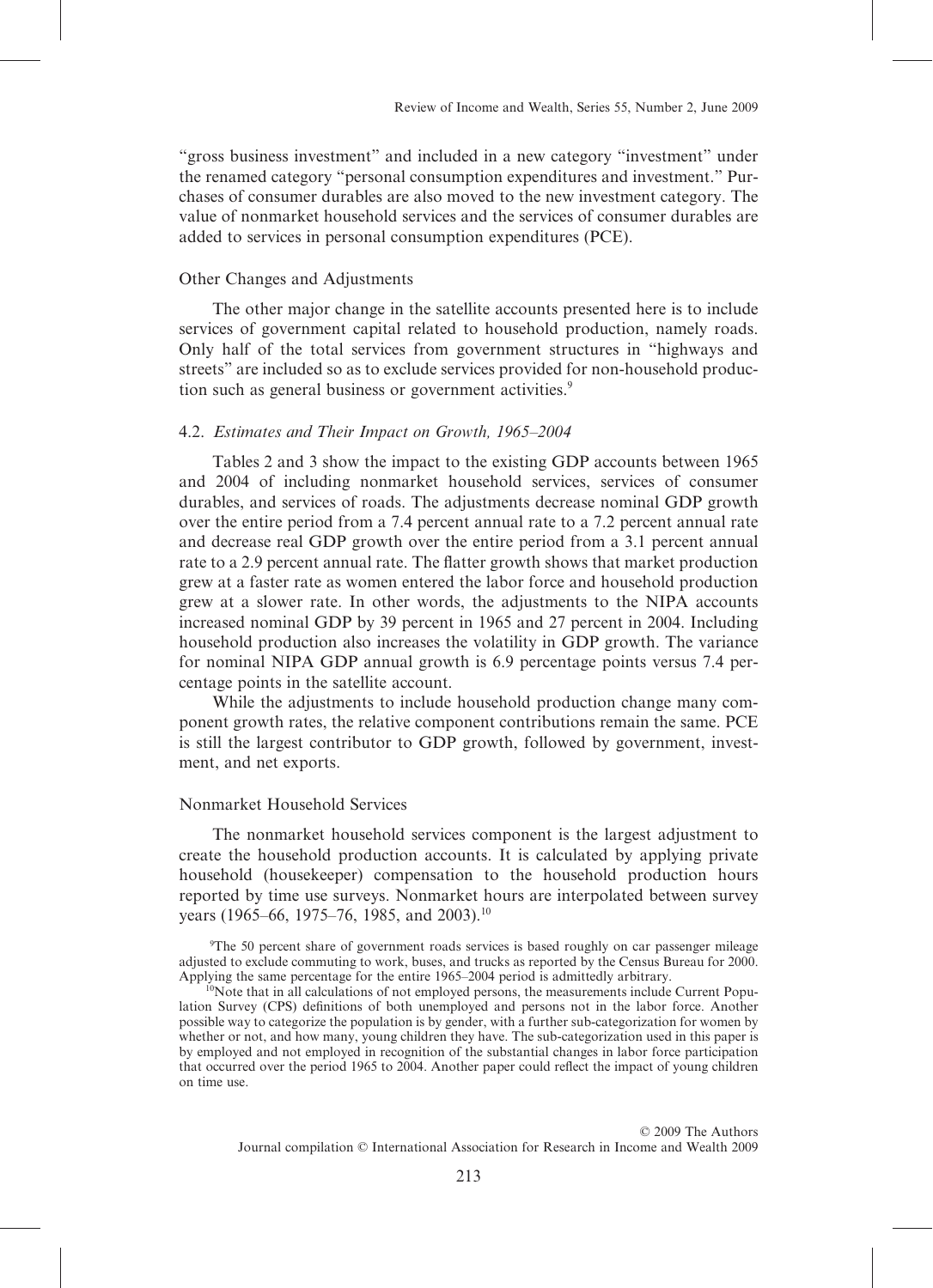"gross business investment" and included in a new category "investment" under the renamed category "personal consumption expenditures and investment." Purchases of consumer durables are also moved to the new investment category. The value of nonmarket household services and the services of consumer durables are added to services in personal consumption expenditures (PCE).

## Other Changes and Adjustments

The other major change in the satellite accounts presented here is to include services of government capital related to household production, namely roads. Only half of the total services from government structures in "highways and streets" are included so as to exclude services provided for non-household production such as general business or government activities.<sup>9</sup>

### 4.2. *Estimates and Their Impact on Growth, 1965–2004*

Tables 2 and 3 show the impact to the existing GDP accounts between 1965 and 2004 of including nonmarket household services, services of consumer durables, and services of roads. The adjustments decrease nominal GDP growth over the entire period from a 7.4 percent annual rate to a 7.2 percent annual rate and decrease real GDP growth over the entire period from a 3.1 percent annual rate to a 2.9 percent annual rate. The flatter growth shows that market production grew at a faster rate as women entered the labor force and household production grew at a slower rate. In other words, the adjustments to the NIPA accounts increased nominal GDP by 39 percent in 1965 and 27 percent in 2004. Including household production also increases the volatility in GDP growth. The variance for nominal NIPA GDP annual growth is 6.9 percentage points versus 7.4 percentage points in the satellite account.

While the adjustments to include household production change many component growth rates, the relative component contributions remain the same. PCE is still the largest contributor to GDP growth, followed by government, investment, and net exports.

### Nonmarket Household Services

The nonmarket household services component is the largest adjustment to create the household production accounts. It is calculated by applying private household (housekeeper) compensation to the household production hours reported by time use surveys. Nonmarket hours are interpolated between survey years (1965–66, 1975–76, 1985, and 2003).<sup>10</sup>

9 The 50 percent share of government roads services is based roughly on car passenger mileage adjusted to exclude commuting to work, buses, and trucks as reported by the Census Bureau for 2000. Applying the same percentage for the entire 1965–2004 period is admittedly arbitrary.

<sup>10</sup>Note that in all calculations of not employed persons, the measurements include Current Population Survey (CPS) definitions of both unemployed and persons not in the labor force. Another possible way to categorize the population is by gender, with a further sub-categorization for women by whether or not, and how many, young children they have. The sub-categorization used in this paper is by employed and not employed in recognition of the substantial changes in labor force participation that occurred over the period 1965 to 2004. Another paper could reflect the impact of young children on time use.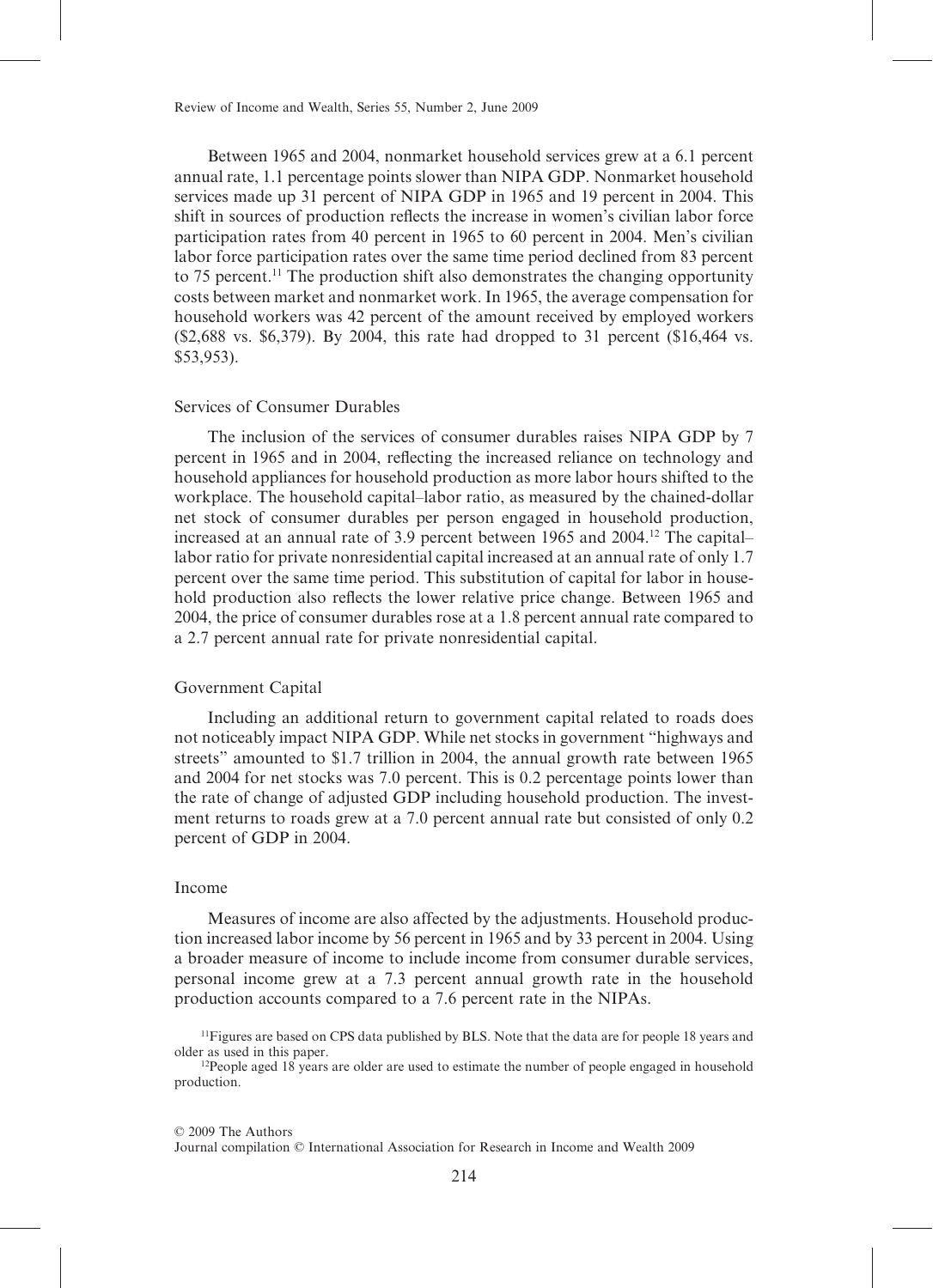Between 1965 and 2004, nonmarket household services grew at a 6.1 percent annual rate, 1.1 percentage points slower than NIPA GDP. Nonmarket household services made up 31 percent of NIPA GDP in 1965 and 19 percent in 2004. This shift in sources of production reflects the increase in women's civilian labor force participation rates from 40 percent in 1965 to 60 percent in 2004. Men's civilian labor force participation rates over the same time period declined from 83 percent to 75 percent.<sup>11</sup> The production shift also demonstrates the changing opportunity costs between market and nonmarket work. In 1965, the average compensation for household workers was 42 percent of the amount received by employed workers (\$2,688 vs. \$6,379). By 2004, this rate had dropped to 31 percent (\$16,464 vs. \$53,953).

### Services of Consumer Durables

The inclusion of the services of consumer durables raises NIPA GDP by 7 percent in 1965 and in 2004, reflecting the increased reliance on technology and household appliances for household production as more labor hours shifted to the workplace. The household capital–labor ratio, as measured by the chained-dollar net stock of consumer durables per person engaged in household production, increased at an annual rate of 3.9 percent between 1965 and 2004.<sup>12</sup> The capitallabor ratio for private nonresidential capital increased at an annual rate of only 1.7 percent over the same time period. This substitution of capital for labor in household production also reflects the lower relative price change. Between 1965 and 2004, the price of consumer durables rose at a 1.8 percent annual rate compared to a 2.7 percent annual rate for private nonresidential capital.

## Government Capital

Including an additional return to government capital related to roads does not noticeably impact NIPA GDP. While net stocks in government "highways and streets" amounted to \$1.7 trillion in 2004, the annual growth rate between 1965 and 2004 for net stocks was 7.0 percent. This is 0.2 percentage points lower than the rate of change of adjusted GDP including household production. The investment returns to roads grew at a 7.0 percent annual rate but consisted of only 0.2 percent of GDP in 2004.

## Income

Measures of income are also affected by the adjustments. Household production increased labor income by 56 percent in 1965 and by 33 percent in 2004. Using a broader measure of income to include income from consumer durable services, personal income grew at a 7.3 percent annual growth rate in the household production accounts compared to a 7.6 percent rate in the NIPAs.

<sup>11</sup> Figures are based on CPS data published by BLS. Note that the data are for people 18 years and older as used in this paper.

 $12$ People aged 18 years are older are used to estimate the number of people engaged in household production.

#### © 2009 The Authors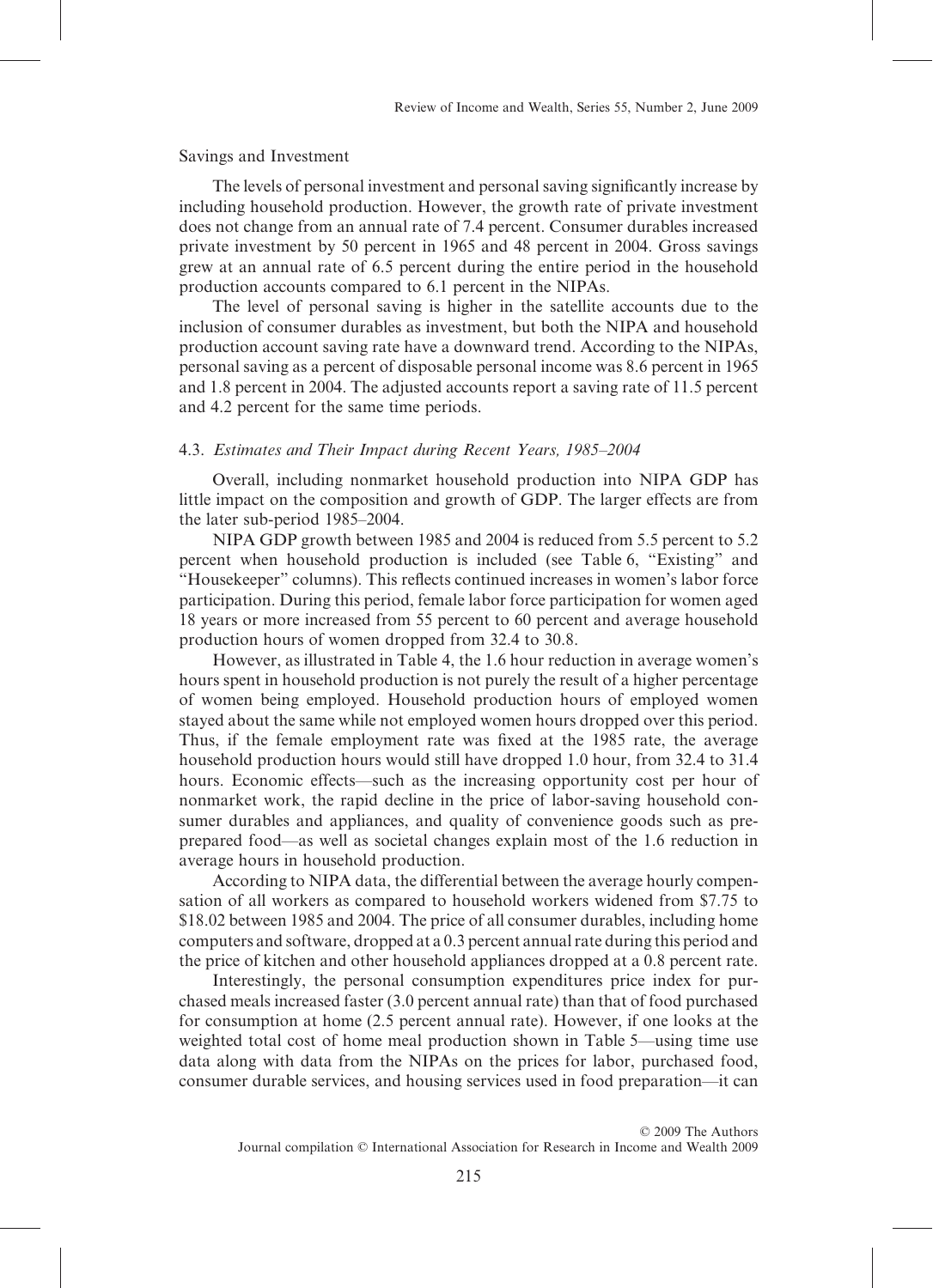## Savings and Investment

The levels of personal investment and personal saving significantly increase by including household production. However, the growth rate of private investment does not change from an annual rate of 7.4 percent. Consumer durables increased private investment by 50 percent in 1965 and 48 percent in 2004. Gross savings grew at an annual rate of 6.5 percent during the entire period in the household production accounts compared to 6.1 percent in the NIPAs.

The level of personal saving is higher in the satellite accounts due to the inclusion of consumer durables as investment, but both the NIPA and household production account saving rate have a downward trend. According to the NIPAs, personal saving as a percent of disposable personal income was 8.6 percent in 1965 and 1.8 percent in 2004. The adjusted accounts report a saving rate of 11.5 percent and 4.2 percent for the same time periods.

## 4.3. *Estimates and Their Impact during Recent Years, 1985–2004*

Overall, including nonmarket household production into NIPA GDP has little impact on the composition and growth of GDP. The larger effects are from the later sub-period 1985–2004.

NIPA GDP growth between 1985 and 2004 is reduced from 5.5 percent to 5.2 percent when household production is included (see Table 6, "Existing" and "Housekeeper" columns). This reflects continued increases in women's labor force participation. During this period, female labor force participation for women aged 18 years or more increased from 55 percent to 60 percent and average household production hours of women dropped from 32.4 to 30.8.

However, as illustrated in Table 4, the 1.6 hour reduction in average women's hours spent in household production is not purely the result of a higher percentage of women being employed. Household production hours of employed women stayed about the same while not employed women hours dropped over this period. Thus, if the female employment rate was fixed at the 1985 rate, the average household production hours would still have dropped 1.0 hour, from 32.4 to 31.4 hours. Economic effects—such as the increasing opportunity cost per hour of nonmarket work, the rapid decline in the price of labor-saving household consumer durables and appliances, and quality of convenience goods such as preprepared food—as well as societal changes explain most of the 1.6 reduction in average hours in household production.

According to NIPA data, the differential between the average hourly compensation of all workers as compared to household workers widened from \$7.75 to \$18.02 between 1985 and 2004. The price of all consumer durables, including home computers and software, dropped at a 0.3 percent annual rate during this period and the price of kitchen and other household appliances dropped at a 0.8 percent rate.

Interestingly, the personal consumption expenditures price index for purchased meals increased faster (3.0 percent annual rate) than that of food purchased for consumption at home (2.5 percent annual rate). However, if one looks at the weighted total cost of home meal production shown in Table 5—using time use data along with data from the NIPAs on the prices for labor, purchased food, consumer durable services, and housing services used in food preparation—it can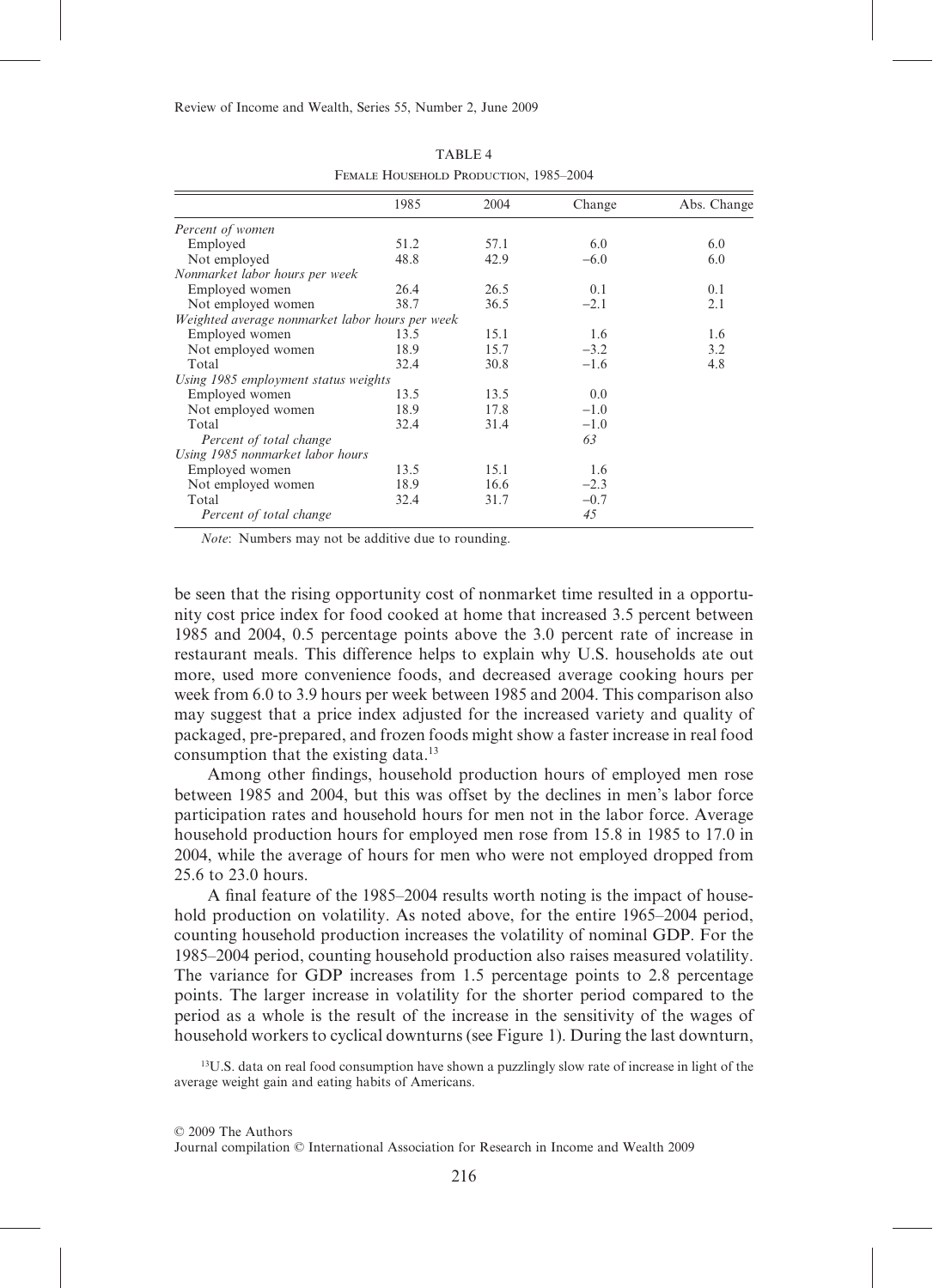|                                                 | 1985 | 2004 | Change | Abs. Change |
|-------------------------------------------------|------|------|--------|-------------|
| Percent of women                                |      |      |        |             |
| Employed                                        | 51.2 | 57.1 | 6.0    | 6.0         |
| Not employed                                    | 48.8 | 42.9 | $-6.0$ | 6.0         |
| Nonmarket labor hours per week                  |      |      |        |             |
| Employed women                                  | 26.4 | 26.5 | 0.1    | 0.1         |
| Not employed women                              | 38.7 | 36.5 | $-2.1$ | 2.1         |
| Weighted average nonmarket labor hours per week |      |      |        |             |
| Employed women                                  | 13.5 | 15.1 | 1.6    | 1.6         |
| Not employed women                              | 18.9 | 15.7 | $-3.2$ | 3.2         |
| Total                                           | 32.4 | 30.8 | $-1.6$ | 4.8         |
| Using 1985 employment status weights            |      |      |        |             |
| Employed women                                  | 13.5 | 13.5 | 0.0    |             |
| Not employed women                              | 18.9 | 17.8 | $-1.0$ |             |
| Total                                           | 32.4 | 31.4 | $-1.0$ |             |
| Percent of total change                         |      |      | 63     |             |
| Using 1985 nonmarket labor hours                |      |      |        |             |
| Employed women                                  | 13.5 | 15.1 | 1.6    |             |
| Not employed women                              | 18.9 | 16.6 | $-2.3$ |             |
| Total                                           | 32.4 | 31.7 | $-0.7$ |             |
| Percent of total change                         |      |      | 45     |             |

TABLE 4 Female Household Production, 1985–2004

*Note*: Numbers may not be additive due to rounding.

be seen that the rising opportunity cost of nonmarket time resulted in a opportunity cost price index for food cooked at home that increased 3.5 percent between 1985 and 2004, 0.5 percentage points above the 3.0 percent rate of increase in restaurant meals. This difference helps to explain why U.S. households ate out more, used more convenience foods, and decreased average cooking hours per week from 6.0 to 3.9 hours per week between 1985 and 2004. This comparison also may suggest that a price index adjusted for the increased variety and quality of packaged, pre-prepared, and frozen foods might show a faster increase in real food consumption that the existing data.<sup>13</sup>

Among other findings, household production hours of employed men rose between 1985 and 2004, but this was offset by the declines in men's labor force participation rates and household hours for men not in the labor force. Average household production hours for employed men rose from 15.8 in 1985 to 17.0 in 2004, while the average of hours for men who were not employed dropped from 25.6 to 23.0 hours.

A final feature of the 1985–2004 results worth noting is the impact of household production on volatility. As noted above, for the entire 1965–2004 period, counting household production increases the volatility of nominal GDP. For the 1985–2004 period, counting household production also raises measured volatility. The variance for GDP increases from 1.5 percentage points to 2.8 percentage points. The larger increase in volatility for the shorter period compared to the period as a whole is the result of the increase in the sensitivity of the wages of household workers to cyclical downturns (see Figure 1). During the last downturn,

<sup>13</sup>U.S. data on real food consumption have shown a puzzlingly slow rate of increase in light of the average weight gain and eating habits of Americans.

© 2009 The Authors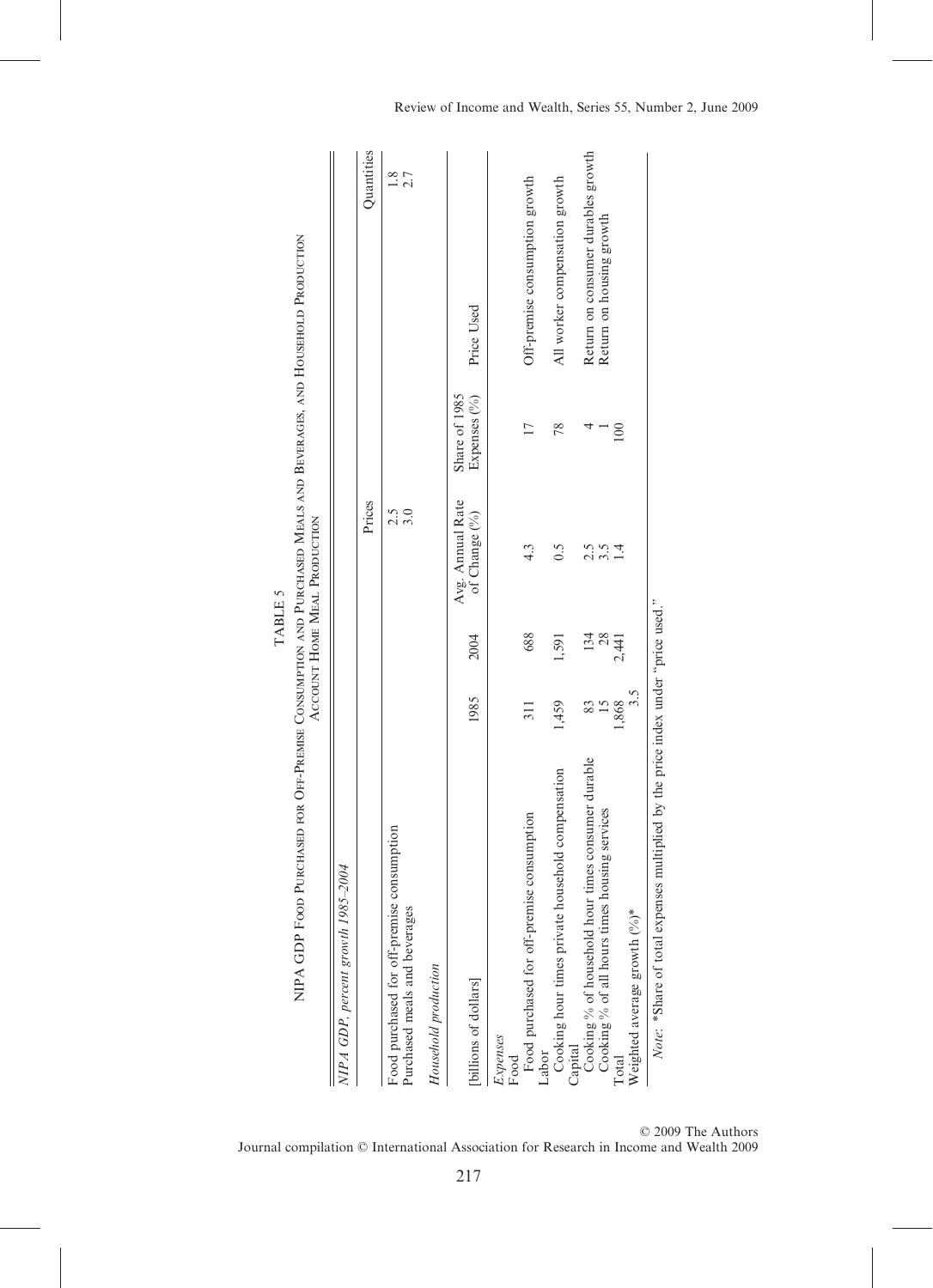| ļ<br>֚֕֡ | ֖֖֖ׅ֖֧֖֧ׅ֖֧֧֚֚֚֚֚֚֚֚֚֚֚֚֚֚֚֚֚֚֚֚֚֚֚֚֚֚֚֚֚֚֚֚֚֬֝֝֓֞֝֓֞֝֬֝֓֞֝<br>l | I<br>i<br>į<br>.<br>.<br>.<br>l | $\overline{\phantom{a}}$ |
|----------|------------------------------------------------------------------|---------------------------------|--------------------------|
|----------|------------------------------------------------------------------|---------------------------------|--------------------------|

HOLD PRODUCTION

| NIPA GDP, percent growth 1985-2004                                                                     |              |               |                                   |                               |                                                                |
|--------------------------------------------------------------------------------------------------------|--------------|---------------|-----------------------------------|-------------------------------|----------------------------------------------------------------|
|                                                                                                        |              |               | Prices                            |                               | Quantities                                                     |
| Food purchased for off-premise consumption<br>Purchased meals and beverages                            |              |               | $\frac{2.5}{3.0}$                 |                               | $\frac{1.8}{2.7}$                                              |
| Household production                                                                                   |              |               |                                   |                               |                                                                |
| billions of dollars]                                                                                   | 1985         | 2004          | Avg. Annual Rate<br>of Change (%) | Expenses (%)<br>Share of 1985 | Price Used                                                     |
| Expenses<br>Food                                                                                       |              |               |                                   |                               |                                                                |
| Food purchased for off-premise consumption<br>Labor                                                    | 311          | 688           | $4.\overline{3}$                  |                               | Off-premise consumption growth                                 |
| Cooking hour times private household compensation<br>Capital                                           | 1,459        | 1,591         | $\widetilde{\phantom{0}}$         | 78                            | All worker compensation growth                                 |
| times consumer durable<br>Cooking % of all hours times housing services<br>Cooking % of household hour | 15<br>83     | 134<br>$28\,$ | 3.5<br>2.5                        |                               | Return on consumer durables growth<br>Return on housing growth |
| Neighted average growth (%)*<br><b>Total</b>                                                           | 3.5<br>1,868 | 2,441         |                                   | 100                           |                                                                |
| Note: *Share of total expenses multiplied by the price index under "price used."                       |              |               |                                   |                               |                                                                |

© 2009 The Authors Journal compilation © International Association for Research in Income and Wealth 2009

217

|  | -0.2 | ____<br>. |
|--|------|-----------|
|  |      |           |
|  |      |           |

Review of Income and Wealth, Series 55, Number 2, June 2009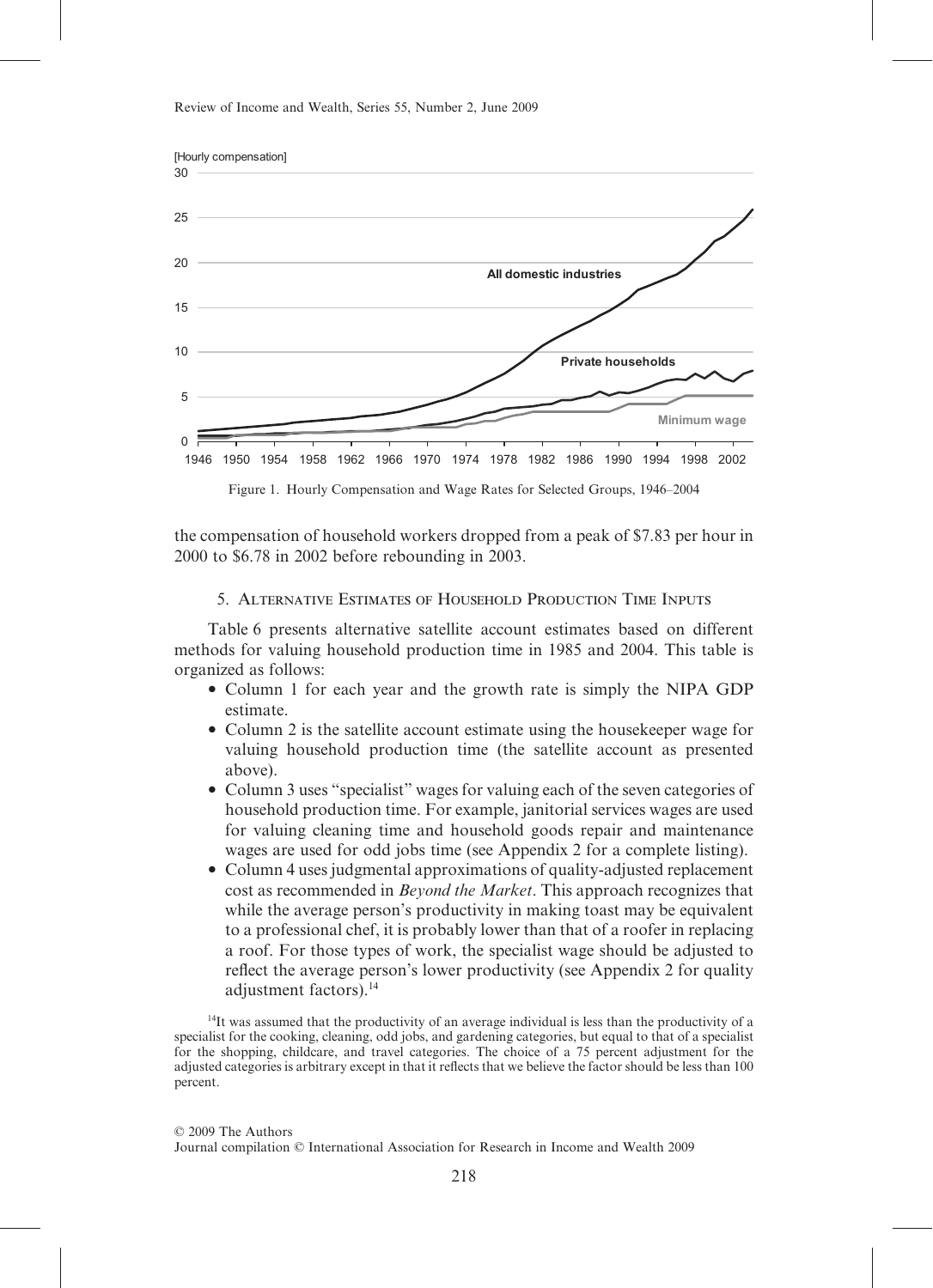

the compensation of household workers dropped from a peak of \$7.83 per hour in 2000 to \$6.78 in 2002 before rebounding in 2003.

## 5. Alternative Estimates of Household Production Time Inputs

Table 6 presents alternative satellite account estimates based on different methods for valuing household production time in 1985 and 2004. This table is organized as follows:

- Column 1 for each year and the growth rate is simply the NIPA GDP estimate.
- Column 2 is the satellite account estimate using the housekeeper wage for valuing household production time (the satellite account as presented above).
- Column 3 uses "specialist" wages for valuing each of the seven categories of household production time. For example, janitorial services wages are used for valuing cleaning time and household goods repair and maintenance wages are used for odd jobs time (see Appendix 2 for a complete listing).
- Column 4 uses judgmental approximations of quality-adjusted replacement cost as recommended in *Beyond the Market*. This approach recognizes that while the average person's productivity in making toast may be equivalent to a professional chef, it is probably lower than that of a roofer in replacing a roof. For those types of work, the specialist wage should be adjusted to reflect the average person's lower productivity (see Appendix 2 for quality adjustment factors).14

 $14$ It was assumed that the productivity of an average individual is less than the productivity of a specialist for the cooking, cleaning, odd jobs, and gardening categories, but equal to that of a specialist for the shopping, childcare, and travel categories. The choice of a 75 percent adjustment for the adjusted categories is arbitrary except in that it reflects that we believe the factor should be less than 100 percent.

© 2009 The Authors Journal compilation © International Association for Research in Income and Wealth 2009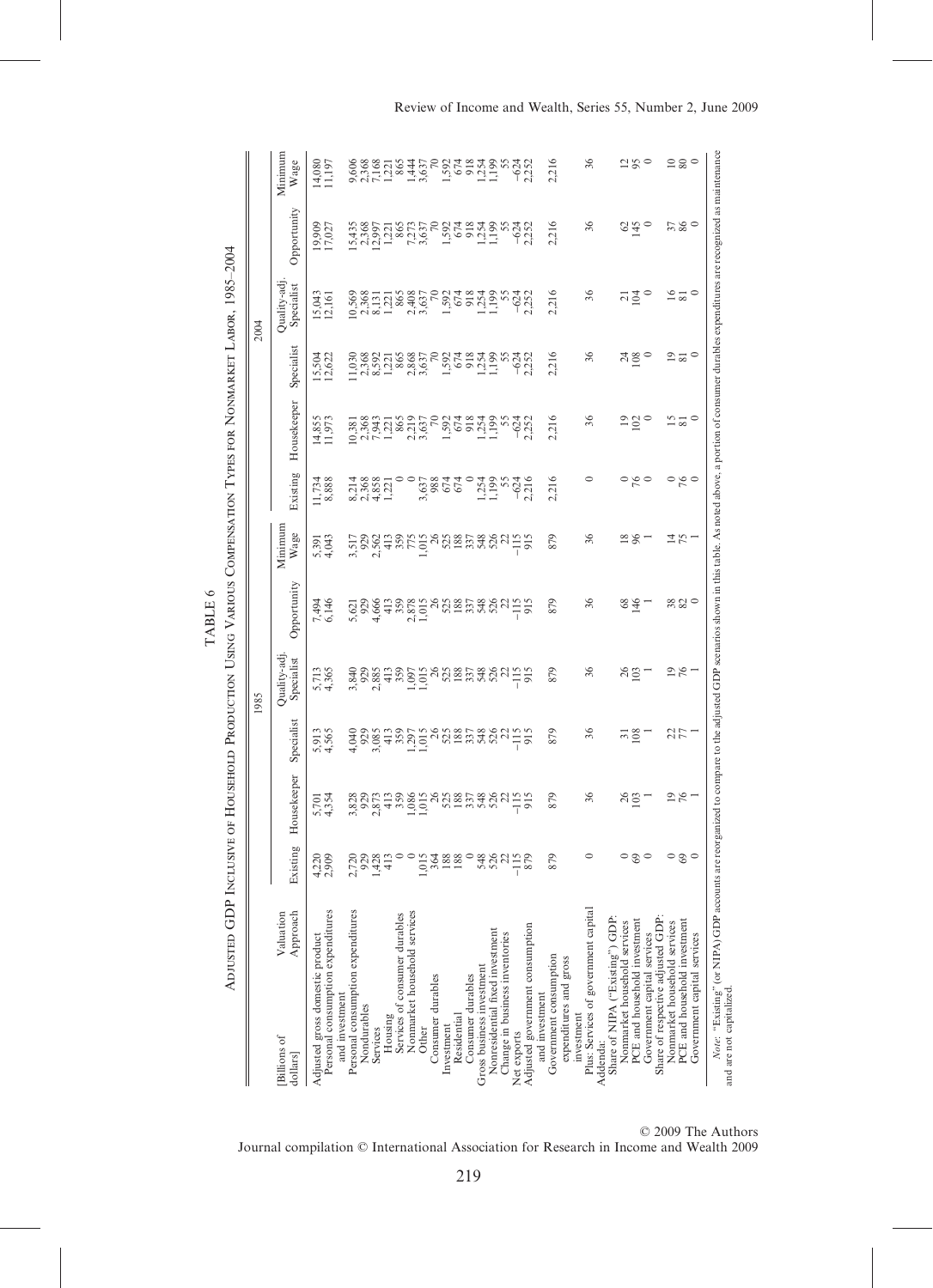|         | -<br>;<br>;<br><b>Controllering</b> |
|---------|-------------------------------------|
|         | <b>CALIFORNIA TV</b>                |
| удиаут. | -<br>-<br>-<br>-                    |
|         |                                     |
|         |                                     |
|         |                                     |
|         | SIVE OF 1                           |
|         |                                     |

|                                                                                                                                                                                                                                             |                |                  |                    | 1985                      |                                                                                                             |                 |                               |                           |                                           | 2004                             |                                                         |                  |
|---------------------------------------------------------------------------------------------------------------------------------------------------------------------------------------------------------------------------------------------|----------------|------------------|--------------------|---------------------------|-------------------------------------------------------------------------------------------------------------|-----------------|-------------------------------|---------------------------|-------------------------------------------|----------------------------------|---------------------------------------------------------|------------------|
| Valuation<br>Approach<br><b>Billions</b> of<br>dollars                                                                                                                                                                                      | Existing       | Housekeeper      | Specialist         | Quality-adj<br>Specialist | Opportunity                                                                                                 | Minimum<br>Wage | Existing                      | Housekeeper               | Specialist                                | Quality-adj.<br>Specialist       | Opportunity                                             | Minimum<br>Wage  |
| Personal consumption expenditures<br>Adjusted gross domestic product                                                                                                                                                                        | 4,220<br>2,909 | 5,701<br>4,354   | 5,913<br>4,565     | 5,713<br>4,365            | 7,494<br>6,146                                                                                              | 5,391<br>4,043  | 11,734<br>8,888               | 14,855<br>11,973          | 15,504<br>12,622                          | 15,043<br>12,161                 | 19,909<br>17,027                                        | 14,080<br>11,197 |
| Personal consumption expenditures<br>and investment<br>Nondurables                                                                                                                                                                          | 2,720          |                  |                    |                           | $\begin{array}{c} 5.888788888888888888155 \\ 4.88827888888888888155 \\ 4.888278888888888155 \\ \end{array}$ | 1,517           | 8,214<br>8,3,8321<br>8,1,4,21 | 10,381                    | $\frac{1,030}{2,368}$                     | 0,569<br>2,368                   | 15,4387<br>12,587<br>12,587<br>12,575,767<br>12,575,767 |                  |
| Services                                                                                                                                                                                                                                    |                |                  |                    |                           |                                                                                                             |                 |                               |                           |                                           |                                  |                                                         |                  |
| Housing                                                                                                                                                                                                                                     | $1,428$<br>413 |                  |                    |                           |                                                                                                             |                 |                               |                           |                                           |                                  |                                                         |                  |
| Nonmarket household services<br>Services of consumer durables                                                                                                                                                                               |                |                  |                    |                           |                                                                                                             |                 |                               | 7943<br>1786578<br>178657 | 8,521<br>1,21868<br>2,868<br>2,57<br>2,57 | 3.1318<br>1.2218657<br>8.1.24657 |                                                         |                  |
| Other                                                                                                                                                                                                                                       |                |                  |                    |                           |                                                                                                             |                 |                               |                           |                                           |                                  |                                                         |                  |
| Consumer durables                                                                                                                                                                                                                           |                |                  |                    |                           |                                                                                                             |                 |                               |                           |                                           |                                  |                                                         |                  |
| Residential<br>Investment                                                                                                                                                                                                                   | 538889888158   |                  | 288272882288888125 | starstvarska u 122        |                                                                                                             |                 | 3.88740<br>3.88740<br>3.9875  | SE SAS<br>SE SAS          | 5223450<br>532351<br>1110                 | ntender<br>Stender               | <b>223395323</b><br>223495423                           |                  |
| Consumer durables                                                                                                                                                                                                                           |                |                  |                    |                           |                                                                                                             |                 |                               |                           |                                           |                                  |                                                         |                  |
| Gross business investment                                                                                                                                                                                                                   |                |                  |                    |                           |                                                                                                             |                 |                               |                           |                                           |                                  |                                                         |                  |
| Nonresidential fixed investment                                                                                                                                                                                                             |                |                  |                    |                           |                                                                                                             |                 |                               |                           |                                           |                                  |                                                         |                  |
| Change in business inventories                                                                                                                                                                                                              |                |                  |                    |                           |                                                                                                             |                 |                               | 533<br>933<br>232         | 533<br>933<br>235                         |                                  |                                                         |                  |
| Adjusted government consumption<br>Net exports                                                                                                                                                                                              |                |                  |                    |                           |                                                                                                             |                 |                               |                           |                                           |                                  |                                                         |                  |
| and investment                                                                                                                                                                                                                              |                |                  |                    |                           |                                                                                                             |                 |                               |                           |                                           |                                  |                                                         |                  |
| Government consumption                                                                                                                                                                                                                      | 879            | 879              | 879                | 879                       | 879                                                                                                         | 879             | 2,216                         | 2,216                     | 2,216                                     | 2,216                            | 2,216                                                   | 2,216            |
| expenditures and gross<br>investment                                                                                                                                                                                                        |                |                  |                    |                           |                                                                                                             |                 |                               |                           |                                           |                                  |                                                         |                  |
| Plus: Services of government capital<br>Addenda:                                                                                                                                                                                            |                | 36               | 36                 | 36                        | 36                                                                                                          | 36              |                               | 36                        | 36                                        | 36                               | 36                                                      | 36               |
| Share of NIPA ("Existing") GDP:                                                                                                                                                                                                             |                |                  |                    |                           |                                                                                                             |                 |                               |                           |                                           |                                  |                                                         |                  |
| Nonmarket household services                                                                                                                                                                                                                |                |                  |                    |                           |                                                                                                             |                 |                               |                           |                                           |                                  |                                                         |                  |
| PCE and household investment                                                                                                                                                                                                                | ⊛ ೦            | $\frac{26}{103}$ | $\frac{31}{108}$   | $\frac{26}{103}$          | $rac{8}{46}$                                                                                                | $\frac{8}{96}$  | $\circ$ $\approx$             | ೨೪°                       | ಸ≌°                                       | $\frac{13}{2}$                   | 640                                                     | 280              |
| Government capital services                                                                                                                                                                                                                 |                |                  |                    |                           |                                                                                                             |                 |                               |                           |                                           |                                  |                                                         |                  |
| Share of respective adjusted GDP:                                                                                                                                                                                                           |                |                  |                    |                           |                                                                                                             |                 |                               |                           |                                           |                                  |                                                         |                  |
| Nonmarket household services                                                                                                                                                                                                                | ေစ့ေ           | $28 -$           | りとこ                | $28 -$                    | ೫ ೫೦                                                                                                        | $75 -$          | ०९०                           | $\frac{5}{81}$            | 220                                       | $\frac{16}{20}$                  | $\frac{25}{25}$                                         | 280              |
| PCE and household investment                                                                                                                                                                                                                |                |                  |                    |                           |                                                                                                             |                 |                               |                           |                                           |                                  |                                                         |                  |
| Government capital services                                                                                                                                                                                                                 |                |                  |                    |                           |                                                                                                             |                 |                               | $\circ$                   |                                           |                                  |                                                         |                  |
| Note: "Existing" (or NIPA) GDP accounts are reorganized to compare to the adjusted GDP scenarios shown in this table. As noted above, a portion of consumer durables expenditures are recognized as maintenance<br>and are not capitalized. |                |                  |                    |                           |                                                                                                             |                 |                               |                           |                                           |                                  |                                                         |                  |

© 2009 The Authors Journal compilation © International Association for Research in Income and Wealth 2009

219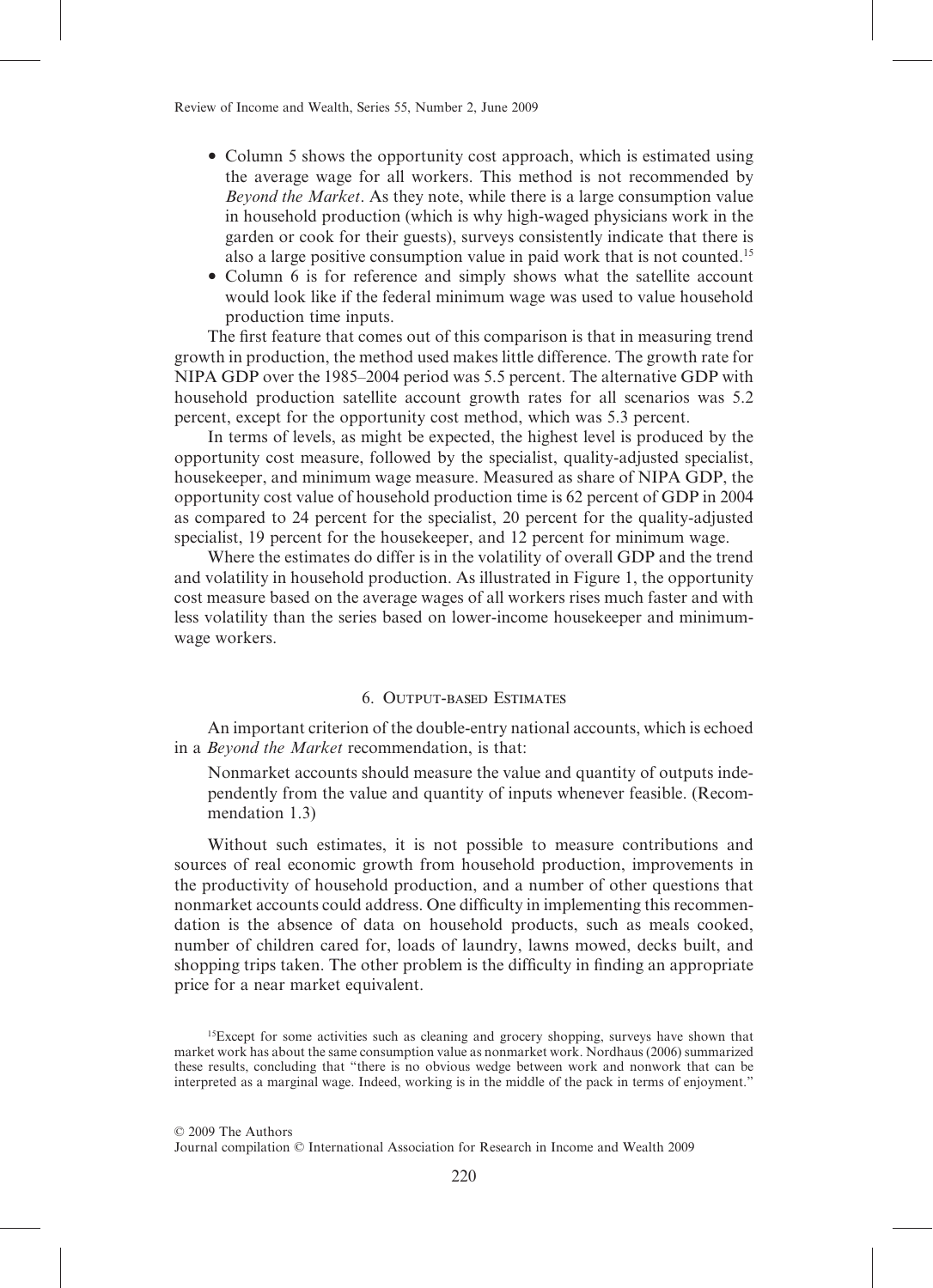- Column 5 shows the opportunity cost approach, which is estimated using the average wage for all workers. This method is not recommended by *Beyond the Market*. As they note, while there is a large consumption value in household production (which is why high-waged physicians work in the garden or cook for their guests), surveys consistently indicate that there is also a large positive consumption value in paid work that is not counted.15
- Column 6 is for reference and simply shows what the satellite account would look like if the federal minimum wage was used to value household production time inputs.

The first feature that comes out of this comparison is that in measuring trend growth in production, the method used makes little difference. The growth rate for NIPA GDP over the 1985–2004 period was 5.5 percent. The alternative GDP with household production satellite account growth rates for all scenarios was 5.2 percent, except for the opportunity cost method, which was 5.3 percent.

In terms of levels, as might be expected, the highest level is produced by the opportunity cost measure, followed by the specialist, quality-adjusted specialist, housekeeper, and minimum wage measure. Measured as share of NIPA GDP, the opportunity cost value of household production time is 62 percent of GDP in 2004 as compared to 24 percent for the specialist, 20 percent for the quality-adjusted specialist, 19 percent for the housekeeper, and 12 percent for minimum wage.

Where the estimates do differ is in the volatility of overall GDP and the trend and volatility in household production. As illustrated in Figure 1, the opportunity cost measure based on the average wages of all workers rises much faster and with less volatility than the series based on lower-income housekeeper and minimumwage workers.

## 6. Output-based Estimates

An important criterion of the double-entry national accounts, which is echoed in a *Beyond the Market* recommendation, is that:

Nonmarket accounts should measure the value and quantity of outputs independently from the value and quantity of inputs whenever feasible. (Recommendation 1.3)

Without such estimates, it is not possible to measure contributions and sources of real economic growth from household production, improvements in the productivity of household production, and a number of other questions that nonmarket accounts could address. One difficulty in implementing this recommendation is the absence of data on household products, such as meals cooked, number of children cared for, loads of laundry, lawns mowed, decks built, and shopping trips taken. The other problem is the difficulty in finding an appropriate price for a near market equivalent.

<sup>&</sup>lt;sup>15</sup>Except for some activities such as cleaning and grocery shopping, surveys have shown that market work has about the same consumption value as nonmarket work. Nordhaus (2006) summarized these results, concluding that "there is no obvious wedge between work and nonwork that can be interpreted as a marginal wage. Indeed, working is in the middle of the pack in terms of enjoyment."

<sup>© 2009</sup> The Authors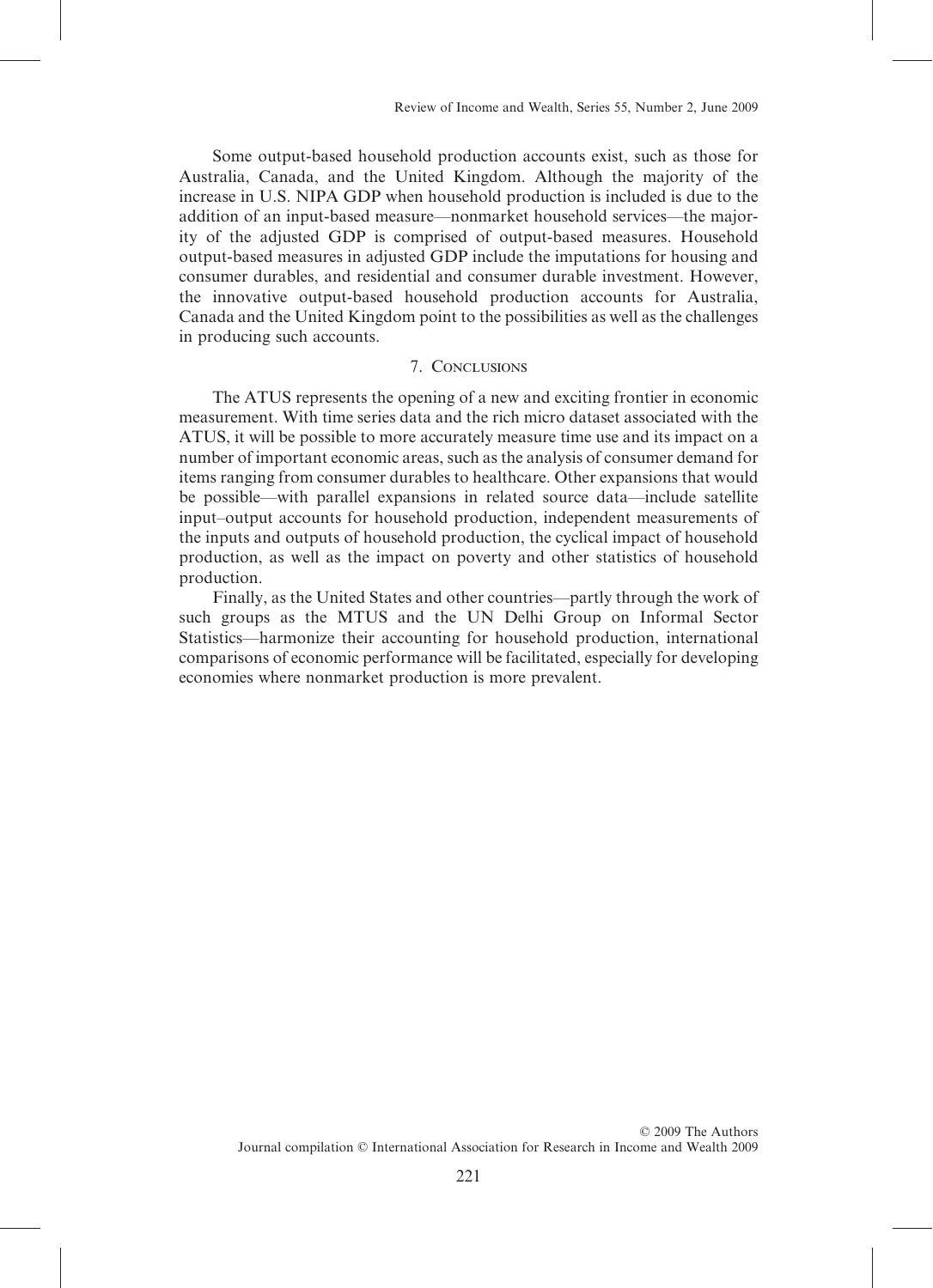Some output-based household production accounts exist, such as those for Australia, Canada, and the United Kingdom. Although the majority of the increase in U.S. NIPA GDP when household production is included is due to the addition of an input-based measure—nonmarket household services—the majority of the adjusted GDP is comprised of output-based measures. Household output-based measures in adjusted GDP include the imputations for housing and consumer durables, and residential and consumer durable investment. However, the innovative output-based household production accounts for Australia, Canada and the United Kingdom point to the possibilities as well as the challenges in producing such accounts.

## 7. Conclusions

The ATUS represents the opening of a new and exciting frontier in economic measurement. With time series data and the rich micro dataset associated with the ATUS, it will be possible to more accurately measure time use and its impact on a number of important economic areas, such as the analysis of consumer demand for items ranging from consumer durables to healthcare. Other expansions that would be possible—with parallel expansions in related source data—include satellite input–output accounts for household production, independent measurements of the inputs and outputs of household production, the cyclical impact of household production, as well as the impact on poverty and other statistics of household production.

Finally, as the United States and other countries—partly through the work of such groups as the MTUS and the UN Delhi Group on Informal Sector Statistics—harmonize their accounting for household production, international comparisons of economic performance will be facilitated, especially for developing economies where nonmarket production is more prevalent.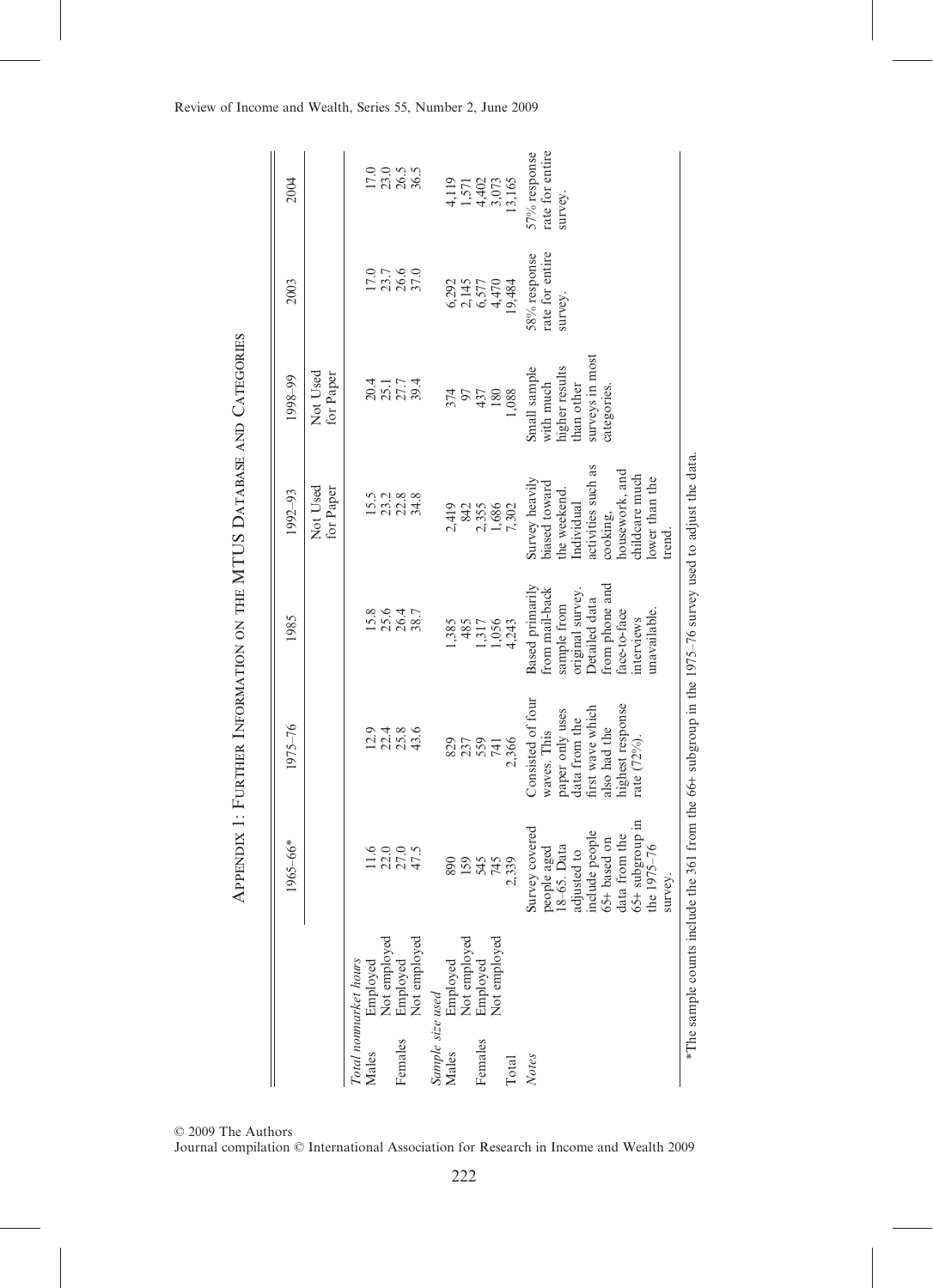|          | 1965-66*                                                                                                                                                  | 1975-76                                                                                                                                     | 1985                                                                                                                                                 | 1992-93                                                                                                                                              | 1998-99                                                                                   | 2003                                                                                                                                                                        | 2004                                                                                                                           |
|----------|-----------------------------------------------------------------------------------------------------------------------------------------------------------|---------------------------------------------------------------------------------------------------------------------------------------------|------------------------------------------------------------------------------------------------------------------------------------------------------|------------------------------------------------------------------------------------------------------------------------------------------------------|-------------------------------------------------------------------------------------------|-----------------------------------------------------------------------------------------------------------------------------------------------------------------------------|--------------------------------------------------------------------------------------------------------------------------------|
|          |                                                                                                                                                           |                                                                                                                                             |                                                                                                                                                      | Not Used                                                                                                                                             | Not Used                                                                                  |                                                                                                                                                                             |                                                                                                                                |
|          |                                                                                                                                                           |                                                                                                                                             |                                                                                                                                                      |                                                                                                                                                      |                                                                                           |                                                                                                                                                                             |                                                                                                                                |
|          |                                                                                                                                                           |                                                                                                                                             |                                                                                                                                                      |                                                                                                                                                      |                                                                                           |                                                                                                                                                                             |                                                                                                                                |
|          |                                                                                                                                                           |                                                                                                                                             |                                                                                                                                                      |                                                                                                                                                      |                                                                                           |                                                                                                                                                                             | 17.0                                                                                                                           |
|          |                                                                                                                                                           |                                                                                                                                             |                                                                                                                                                      |                                                                                                                                                      |                                                                                           |                                                                                                                                                                             |                                                                                                                                |
|          |                                                                                                                                                           |                                                                                                                                             |                                                                                                                                                      |                                                                                                                                                      |                                                                                           |                                                                                                                                                                             | 23.5<br>26.5<br>36.5                                                                                                           |
|          |                                                                                                                                                           |                                                                                                                                             |                                                                                                                                                      |                                                                                                                                                      |                                                                                           |                                                                                                                                                                             |                                                                                                                                |
|          |                                                                                                                                                           |                                                                                                                                             |                                                                                                                                                      |                                                                                                                                                      |                                                                                           |                                                                                                                                                                             |                                                                                                                                |
|          | 890                                                                                                                                                       | 829                                                                                                                                         | 1,385                                                                                                                                                | 2,419                                                                                                                                                |                                                                                           | 6,292                                                                                                                                                                       | 4,119                                                                                                                          |
|          | 159                                                                                                                                                       | 237                                                                                                                                         | 485                                                                                                                                                  | 842                                                                                                                                                  |                                                                                           |                                                                                                                                                                             | $\begin{array}{c} 1,571 \\ 4,402 \\ 3,073 \\ 13,165 \end{array}$                                                               |
| Employed |                                                                                                                                                           | 559                                                                                                                                         |                                                                                                                                                      |                                                                                                                                                      |                                                                                           |                                                                                                                                                                             |                                                                                                                                |
|          |                                                                                                                                                           | 741                                                                                                                                         |                                                                                                                                                      |                                                                                                                                                      | 180                                                                                       |                                                                                                                                                                             |                                                                                                                                |
|          |                                                                                                                                                           | 2,366                                                                                                                                       | 4,243                                                                                                                                                |                                                                                                                                                      |                                                                                           | 19,484                                                                                                                                                                      |                                                                                                                                |
|          | $65+$ subgroup in<br>the 1975–76<br>Survey covered<br>adjusted to<br>include people<br>$65+$ based on<br>data from the $\,$<br>people aged<br>18-65. Data | Consisted of four<br>highest response<br>first wave which<br>paper only uses<br>data from the<br>also had the<br>waves. This<br>rate (72%). | from phone and<br>Based primarily<br>from mail-back<br>original survey<br>Detailed data<br>sample from<br>face-to-face<br>unavailable.<br>interviews | activities such as<br>housework, and<br>childcare much<br>ower than the<br>Survey heavily<br>biased toward<br>the weekend.<br>Individual<br>cooking, | surveys in most<br>higher results<br>Small sample<br>with much<br>han other<br>categories | rate for entire<br>58% response<br>survey.                                                                                                                                  | rate for entire<br>57% response<br>survey.                                                                                     |
|          |                                                                                                                                                           |                                                                                                                                             |                                                                                                                                                      |                                                                                                                                                      |                                                                                           |                                                                                                                                                                             |                                                                                                                                |
|          | Employed<br>Not employed<br>Employed<br>Not employed<br>Not employed<br>Employed<br>Not employed<br>Total nonmarket hours<br>Sample size used             | 11.6<br>22.0<br>27.0<br>47.5<br>2,339<br>545<br>745<br>survey.                                                                              | $23.6$<br>$2.86$<br>12.9                                                                                                                             | 15.8<br>25.4<br>26.4<br>38.7<br>1,056<br>1,317                                                                                                       | for Paper<br>52388<br>5234<br>1,686<br>7,302<br>2,355<br>trend.                           | for Paper<br>2011<br>2012<br>2023<br>1,088<br>374<br>97<br>97<br>$*$ The sample counts include the 361 from the 66+ subgroup in the 1975-76 survey used to adjust the data. | 17.0<br>23.7<br>26.6<br>37.0<br>2,145<br>6,577<br>4,470<br>APPENDIX 1: FURTHER INFORMATION ON THE MTUS DATABASE AND CATEGORIES |

© 2009 The Authors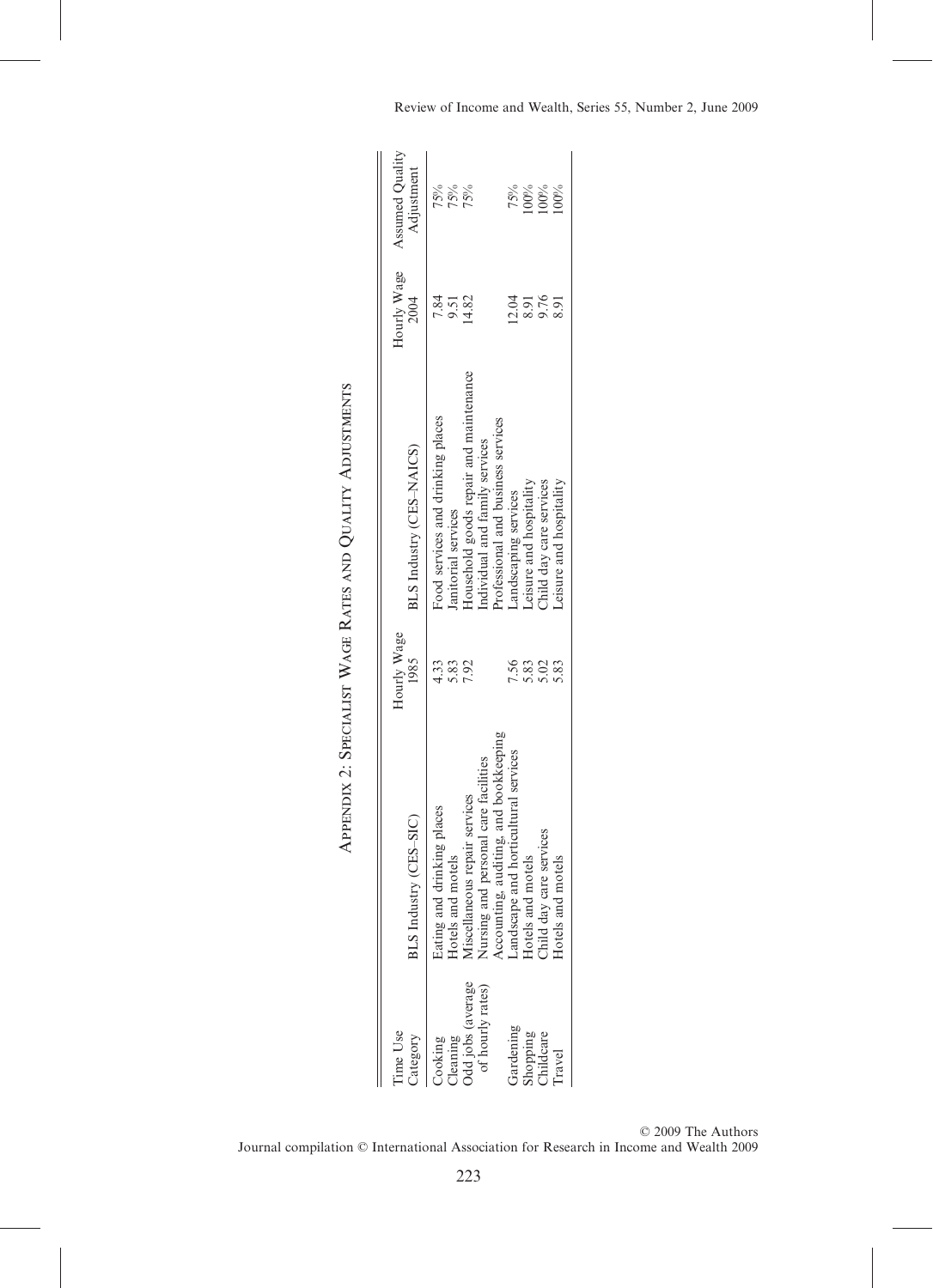| Category                              |                                             | Hourly Wage<br>1985 |                                        | Hourly Wage<br>2004 | Assumed Quality |
|---------------------------------------|---------------------------------------------|---------------------|----------------------------------------|---------------------|-----------------|
|                                       | BLS Industry (CES-SIC)                      |                     | BLS Industry (CES-NAICS)               |                     | Adjustment      |
| <b>Cooking</b>                        | drinking places                             | .33                 | Food services and drinking places      | 7.84                | 75%             |
| <b>Jeaning</b>                        | motels<br>Eating and<br>Hotels and :        | 5.83                | Janitorial services                    | 9.51                | 75%<br>75%      |
|                                       | <i><b>Aiscellaneous repair services</b></i> | 56                  | Household goods repair and maintenance | 4.82                |                 |
| Odd jobs (average<br>of hourly rates) | Jursing and personal care facilities        |                     | Individual and family services         |                     |                 |
|                                       | Accounting, auditing, and bookkeeping       |                     | Professional and business services     |                     |                 |
| Gardening                             | and horticultural services<br>andscape      | ,56                 | Landscaping services                   | 2.04                | 75%             |
| Shopping                              | motels<br>lotels and                        | 5.83                | eisure and hospitality                 | 8.91                | $100\%$         |
| <b>hildcare</b>                       | care services<br>hild day c                 | 5.02                | Child day care services                | 9.76<br>8.91        | $100\%$         |
| ravel                                 | motels<br><b>Totels</b> and                 | 5.83                | eisure and hospitality                 |                     | $00\%$          |

Appendix 2: Specialist

Wage

Rates and

Quality

Adjustments

© 2009 The Authors Journal compilation © International Association for Research in Income and Wealth 2009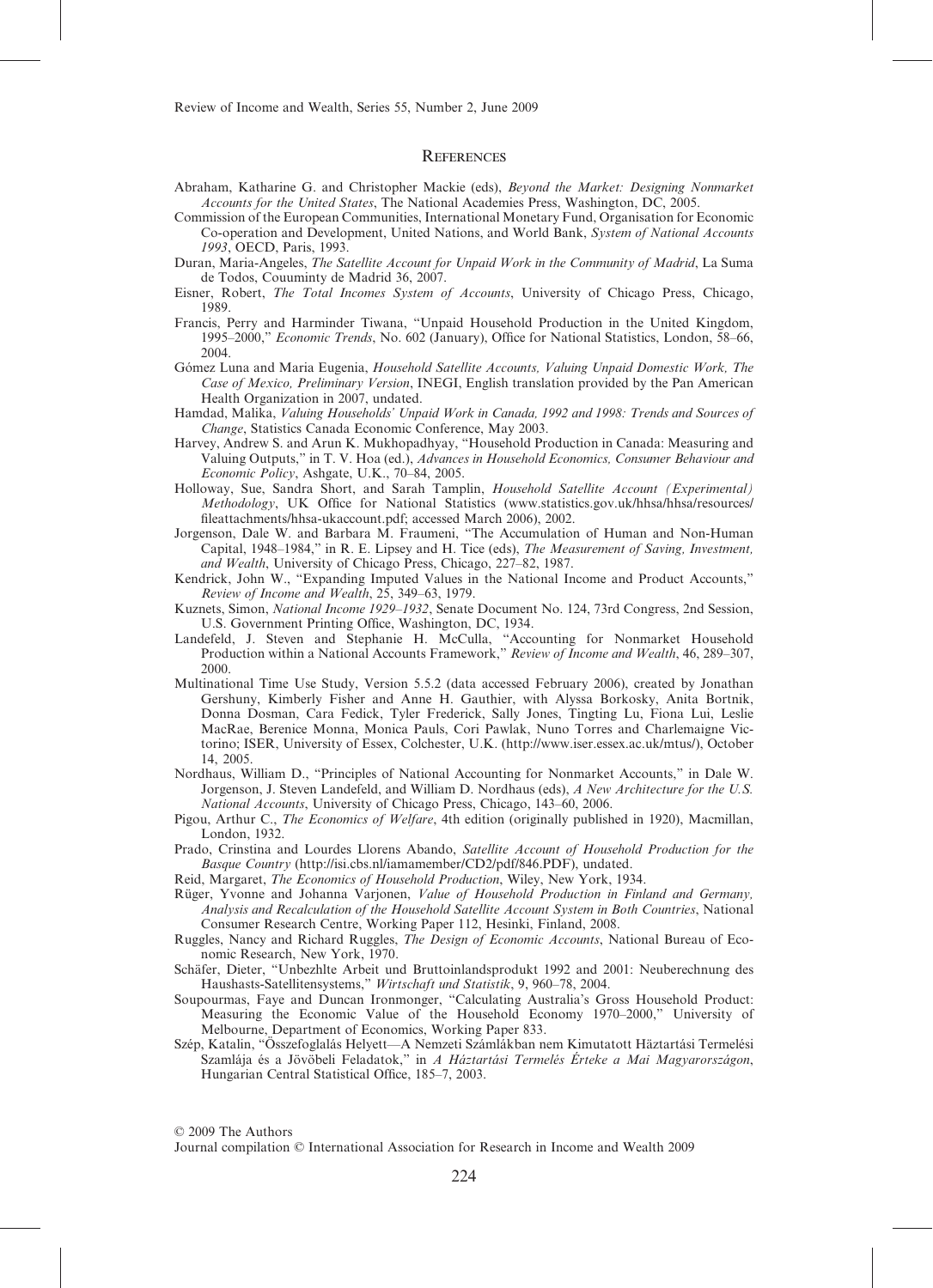#### **REFERENCES**

- Abraham, Katharine G. and Christopher Mackie (eds), *Beyond the Market: Designing Nonmarket Accounts for the United States*, The National Academies Press, Washington, DC, 2005.
- Commission of the European Communities, International Monetary Fund, Organisation for Economic Co-operation and Development, United Nations, and World Bank, *System of National Accounts 1993*, OECD, Paris, 1993.
- Duran, Maria-Angeles, *The Satellite Account for Unpaid Work in the Community of Madrid*, La Suma de Todos, Couuminty de Madrid 36, 2007.
- Eisner, Robert, *The Total Incomes System of Accounts*, University of Chicago Press, Chicago, 1989.
- Francis, Perry and Harminder Tiwana, "Unpaid Household Production in the United Kingdom, 1995–2000," *Economic Trends*, No. 602 (January), Office for National Statistics, London, 58–66, 2004.
- Gómez Luna and Maria Eugenia, *Household Satellite Accounts, Valuing Unpaid Domestic Work, The Case of Mexico, Preliminary Version*, INEGI, English translation provided by the Pan American Health Organization in 2007, undated.
- Hamdad, Malika, *Valuing Households' Unpaid Work in Canada, 1992 and 1998: Trends and Sources of Change*, Statistics Canada Economic Conference, May 2003.
- Harvey, Andrew S. and Arun K. Mukhopadhyay, "Household Production in Canada: Measuring and Valuing Outputs," in T. V. Hoa (ed.), *Advances in Household Economics, Consumer Behaviour and Economic Policy*, Ashgate, U.K., 70–84, 2005.
- Holloway, Sue, Sandra Short, and Sarah Tamplin, *Household Satellite Account (Experimental) Methodology*, UK Office for National Statistics (www.statistics.gov.uk/hhsa/hhsa/resources/ fileattachments/hhsa-ukaccount.pdf; accessed March 2006), 2002.
- Jorgenson, Dale W. and Barbara M. Fraumeni, "The Accumulation of Human and Non-Human Capital, 1948–1984," in R. E. Lipsey and H. Tice (eds), *The Measurement of Saving, Investment, and Wealth*, University of Chicago Press, Chicago, 227–82, 1987.
- Kendrick, John W., "Expanding Imputed Values in the National Income and Product Accounts," *Review of Income and Wealth*, 25, 349–63, 1979.
- Kuznets, Simon, *National Income 1929–1932*, Senate Document No. 124, 73rd Congress, 2nd Session, U.S. Government Printing Office, Washington, DC, 1934.
- Landefeld, J. Steven and Stephanie H. McCulla, "Accounting for Nonmarket Household Production within a National Accounts Framework," *Review of Income and Wealth*, 46, 289–307, 2000.
- Multinational Time Use Study, Version 5.5.2 (data accessed February 2006), created by Jonathan Gershuny, Kimberly Fisher and Anne H. Gauthier, with Alyssa Borkosky, Anita Bortnik, Donna Dosman, Cara Fedick, Tyler Frederick, Sally Jones, Tingting Lu, Fiona Lui, Leslie MacRae, Berenice Monna, Monica Pauls, Cori Pawlak, Nuno Torres and Charlemaigne Victorino; ISER, University of Essex, Colchester, U.K. (http://www.iser.essex.ac.uk/mtus/), October 14, 2005.
- Nordhaus, William D., "Principles of National Accounting for Nonmarket Accounts," in Dale W. Jorgenson, J. Steven Landefeld, and William D. Nordhaus (eds), *A New Architecture for the U.S. National Accounts*, University of Chicago Press, Chicago, 143–60, 2006.
- Pigou, Arthur C., *The Economics of Welfare*, 4th edition (originally published in 1920), Macmillan, London, 1932.
- Prado, Crinstina and Lourdes Llorens Abando, *Satellite Account of Household Production for the Basque Country* (http://isi.cbs.nl/iamamember/CD2/pdf/846.PDF), undated.
- Reid, Margaret, *The Economics of Household Production*, Wiley, New York, 1934.
- Rüger, Yvonne and Johanna Varjonen, *Value of Household Production in Finland and Germany, Analysis and Recalculation of the Household Satellite Account System in Both Countries*, National Consumer Research Centre, Working Paper 112, Hesinki, Finland, 2008.
- Ruggles, Nancy and Richard Ruggles, *The Design of Economic Accounts*, National Bureau of Economic Research, New York, 1970.
- Schäfer, Dieter, "Unbezhlte Arbeit und Bruttoinlandsprodukt 1992 and 2001: Neuberechnung des Haushasts-Satellitensystems," *Wirtschaft und Statistik*, 9, 960–78, 2004.
- Soupourmas, Faye and Duncan Ironmonger, "Calculating Australia's Gross Household Product: Measuring the Economic Value of the Household Economy 1970–2000," University of Melbourne, Department of Economics, Working Paper 833.
- Szép, Katalin, "Összefoglalás Helyett—A Nemzeti Számlákban nem Kimutatott Häztartási Termelési Szamlája és a Jövöbeli Feladatok," in *A Háztartási Termelés Érteke a Mai Magyarországon*, Hungarian Central Statistical Office, 185–7, 2003.

© 2009 The Authors